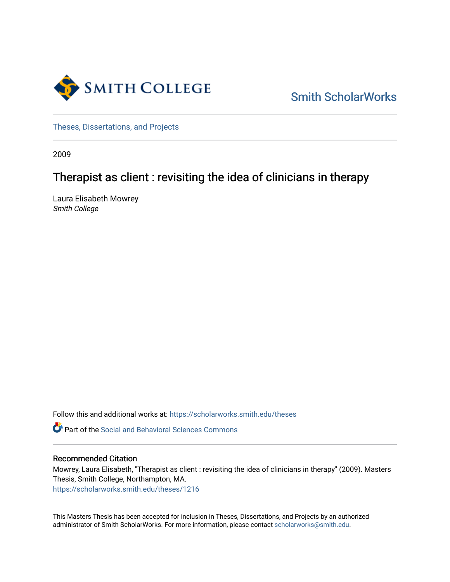

[Smith ScholarWorks](https://scholarworks.smith.edu/) 

[Theses, Dissertations, and Projects](https://scholarworks.smith.edu/theses) 

2009

# Therapist as client : revisiting the idea of clinicians in therapy

Laura Elisabeth Mowrey Smith College

Follow this and additional works at: [https://scholarworks.smith.edu/theses](https://scholarworks.smith.edu/theses?utm_source=scholarworks.smith.edu%2Ftheses%2F1216&utm_medium=PDF&utm_campaign=PDFCoverPages) 

**C** Part of the Social and Behavioral Sciences Commons

# Recommended Citation

Mowrey, Laura Elisabeth, "Therapist as client : revisiting the idea of clinicians in therapy" (2009). Masters Thesis, Smith College, Northampton, MA. [https://scholarworks.smith.edu/theses/1216](https://scholarworks.smith.edu/theses/1216?utm_source=scholarworks.smith.edu%2Ftheses%2F1216&utm_medium=PDF&utm_campaign=PDFCoverPages)

This Masters Thesis has been accepted for inclusion in Theses, Dissertations, and Projects by an authorized administrator of Smith ScholarWorks. For more information, please contact [scholarworks@smith.edu](mailto:scholarworks@smith.edu).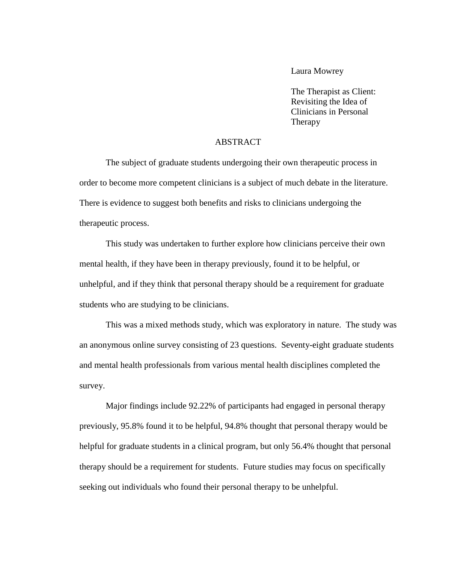Laura Mowrey

The Therapist as Client: Revisiting the Idea of Clinicians in Personal Therapy

# ABSTRACT

The subject of graduate students undergoing their own therapeutic process in order to become more competent clinicians is a subject of much debate in the literature. There is evidence to suggest both benefits and risks to clinicians undergoing the therapeutic process.

This study was undertaken to further explore how clinicians perceive their own mental health, if they have been in therapy previously, found it to be helpful, or unhelpful, and if they think that personal therapy should be a requirement for graduate students who are studying to be clinicians.

This was a mixed methods study, which was exploratory in nature. The study was an anonymous online survey consisting of 23 questions. Seventy-eight graduate students and mental health professionals from various mental health disciplines completed the survey.

Major findings include 92.22% of participants had engaged in personal therapy previously, 95.8% found it to be helpful, 94.8% thought that personal therapy would be helpful for graduate students in a clinical program, but only 56.4% thought that personal therapy should be a requirement for students. Future studies may focus on specifically seeking out individuals who found their personal therapy to be unhelpful.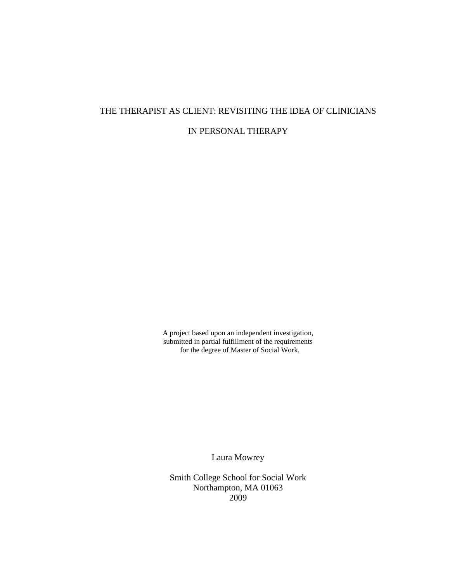# THE THERAPIST AS CLIENT: REVISITING THE IDEA OF CLINICIANS

IN PERSONAL THERAPY

A project based upon an independent investigation, submitted in partial fulfillment of the requirements for the degree of Master of Social Work.

Laura Mowrey

Smith College School for Social Work Northampton, MA 01063 2009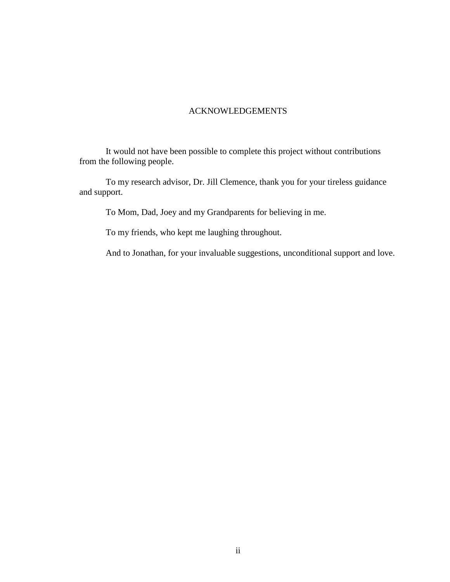# ACKNOWLEDGEMENTS

It would not have been possible to complete this project without contributions from the following people.

To my research advisor, Dr. Jill Clemence, thank you for your tireless guidance and support.

To Mom, Dad, Joey and my Grandparents for believing in me.

To my friends, who kept me laughing throughout.

And to Jonathan, for your invaluable suggestions, unconditional support and love.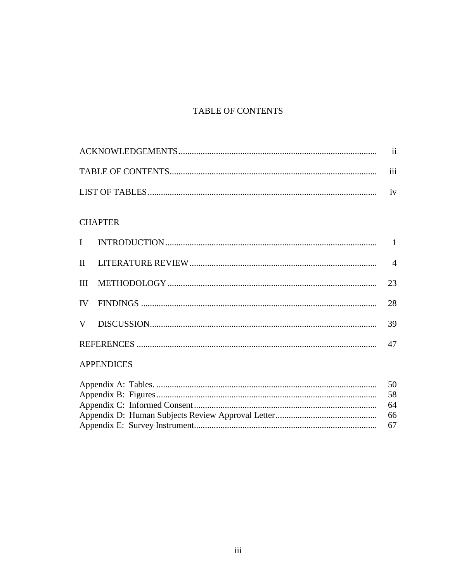# TABLE OF CONTENTS

| $\cdots$<br>111         |
|-------------------------|
| $\mathbf{i} \mathbf{v}$ |

# **CHAPTER**

|              |  | $\overline{4}$ |  |  |
|--------------|--|----------------|--|--|
|              |  | 23             |  |  |
|              |  | 28             |  |  |
|              |  | 39             |  |  |
|              |  |                |  |  |
| A DDENIDIOEC |  |                |  |  |

# **APPENDICES**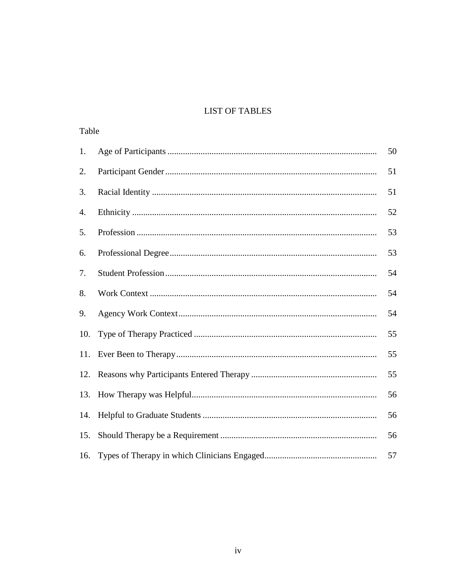# **LIST OF TABLES**

| Table |  |    |  |  |
|-------|--|----|--|--|
| 1.    |  | 50 |  |  |
| 2.    |  | 51 |  |  |
| 3.    |  | 51 |  |  |
| 4.    |  | 52 |  |  |
| 5.    |  | 53 |  |  |
| 6.    |  | 53 |  |  |
| 7.    |  | 54 |  |  |
| 8.    |  | 54 |  |  |
| 9.    |  | 54 |  |  |
| 10.   |  | 55 |  |  |
| 11.   |  | 55 |  |  |
| 12.   |  | 55 |  |  |
| 13.   |  | 56 |  |  |
| 14.   |  | 56 |  |  |
| 15.   |  | 56 |  |  |
| 16.   |  | 57 |  |  |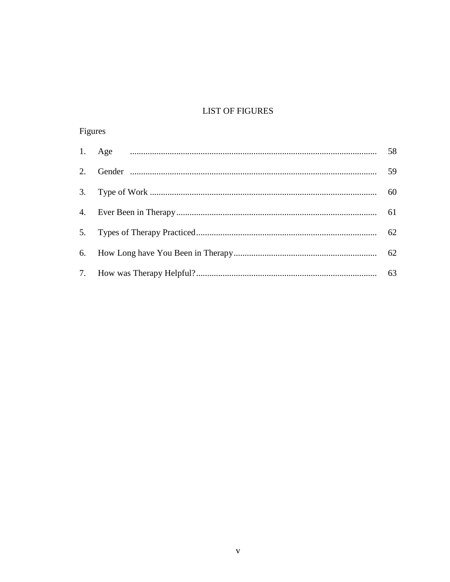# **LIST OF FIGURES**

# Figures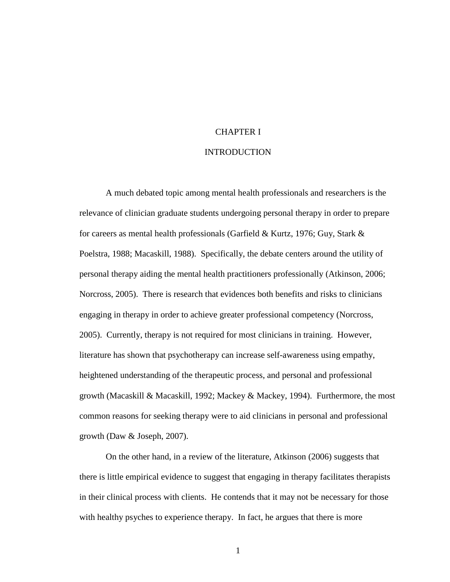### CHAPTER I

#### INTRODUCTION

A much debated topic among mental health professionals and researchers is the relevance of clinician graduate students undergoing personal therapy in order to prepare for careers as mental health professionals (Garfield & Kurtz, 1976; Guy, Stark & Poelstra, 1988; Macaskill, 1988). Specifically, the debate centers around the utility of personal therapy aiding the mental health practitioners professionally (Atkinson, 2006; Norcross, 2005). There is research that evidences both benefits and risks to clinicians engaging in therapy in order to achieve greater professional competency (Norcross, 2005). Currently, therapy is not required for most clinicians in training. However, literature has shown that psychotherapy can increase self-awareness using empathy, heightened understanding of the therapeutic process, and personal and professional growth (Macaskill & Macaskill, 1992; Mackey & Mackey, 1994). Furthermore, the most common reasons for seeking therapy were to aid clinicians in personal and professional growth (Daw & Joseph, 2007).

On the other hand, in a review of the literature, Atkinson (2006) suggests that there is little empirical evidence to suggest that engaging in therapy facilitates therapists in their clinical process with clients. He contends that it may not be necessary for those with healthy psyches to experience therapy. In fact, he argues that there is more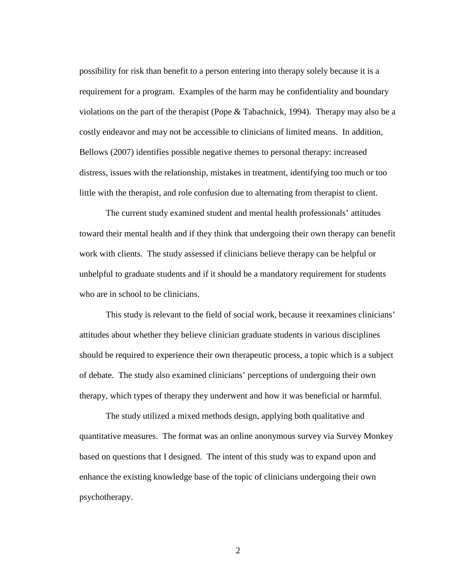possibility for risk than benefit to a person entering into therapy solely because it is a requirement for a program. Examples of the harm may be confidentiality and boundary violations on the part of the therapist (Pope  $&$  Tabachnick, 1994). Therapy may also be a costly endeavor and may not be accessible to clinicians of limited means. In addition, Bellows (2007) identifies possible negative themes to personal therapy: increased distress, issues with the relationship, mistakes in treatment, identifying too much or too little with the therapist, and role confusion due to alternating from therapist to client.

The current study examined student and mental health professionals' attitudes toward their mental health and if they think that undergoing their own therapy can benefit work with clients. The study assessed if clinicians believe therapy can be helpful or unhelpful to graduate students and if it should be a mandatory requirement for students who are in school to be clinicians.

This study is relevant to the field of social work, because it reexamines clinicians' attitudes about whether they believe clinician graduate students in various disciplines should be required to experience their own therapeutic process, a topic which is a subject of debate. The study also examined clinicians' perceptions of undergoing their own therapy, which types of therapy they underwent and how it was beneficial or harmful.

The study utilized a mixed methods design, applying both qualitative and quantitative measures. The format was an online anonymous survey via Survey Monkey based on questions that I designed. The intent of this study was to expand upon and enhance the existing knowledge base of the topic of clinicians undergoing their own psychotherapy.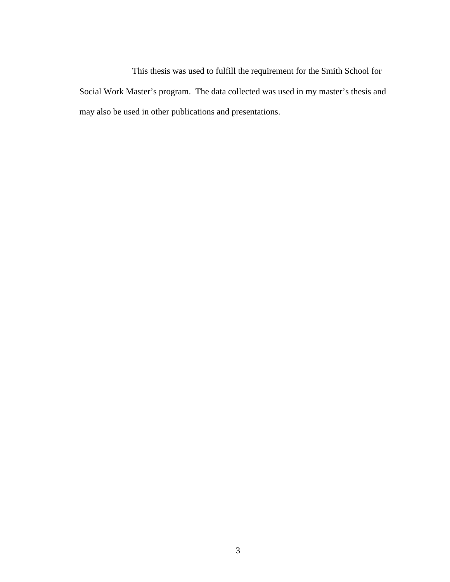This thesis was used to fulfill the requirement for the Smith School for Social Work Master's program. The data collected was used in my master's thesis and may also be used in other publications and presentations.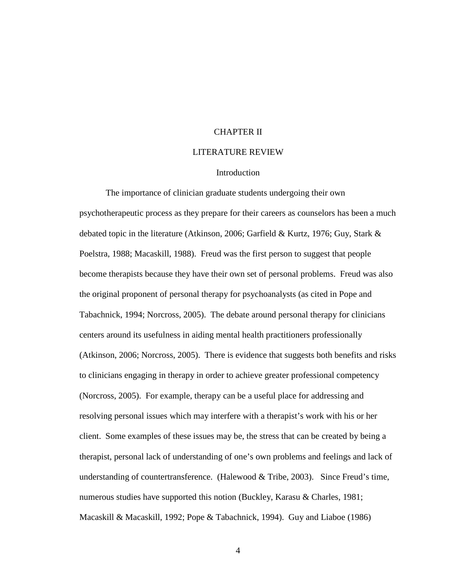#### CHAPTER II

#### LITERATURE REVIEW

#### Introduction

The importance of clinician graduate students undergoing their own psychotherapeutic process as they prepare for their careers as counselors has been a much debated topic in the literature (Atkinson, 2006; Garfield & Kurtz, 1976; Guy, Stark & Poelstra, 1988; Macaskill, 1988). Freud was the first person to suggest that people become therapists because they have their own set of personal problems. Freud was also the original proponent of personal therapy for psychoanalysts (as cited in Pope and Tabachnick, 1994; Norcross, 2005). The debate around personal therapy for clinicians centers around its usefulness in aiding mental health practitioners professionally (Atkinson, 2006; Norcross, 2005). There is evidence that suggests both benefits and risks to clinicians engaging in therapy in order to achieve greater professional competency (Norcross, 2005). For example, therapy can be a useful place for addressing and resolving personal issues which may interfere with a therapist's work with his or her client. Some examples of these issues may be, the stress that can be created by being a therapist, personal lack of understanding of one's own problems and feelings and lack of understanding of countertransference. (Halewood  $&$  Tribe, 2003). Since Freud's time, numerous studies have supported this notion (Buckley, Karasu & Charles, 1981; Macaskill & Macaskill, 1992; Pope & Tabachnick, 1994). Guy and Liaboe (1986)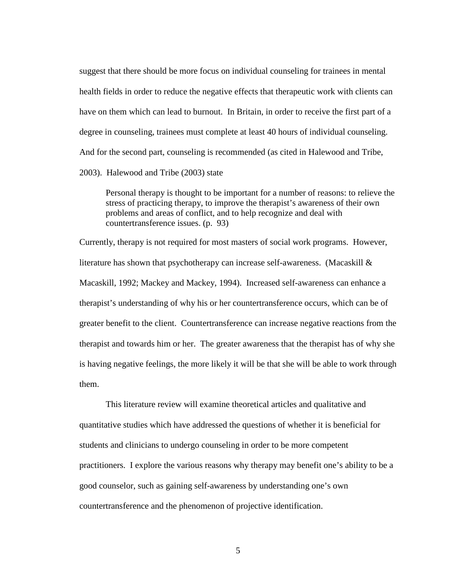suggest that there should be more focus on individual counseling for trainees in mental health fields in order to reduce the negative effects that therapeutic work with clients can have on them which can lead to burnout. In Britain, in order to receive the first part of a degree in counseling, trainees must complete at least 40 hours of individual counseling. And for the second part, counseling is recommended (as cited in Halewood and Tribe, 2003). Halewood and Tribe (2003) state

Personal therapy is thought to be important for a number of reasons: to relieve the stress of practicing therapy, to improve the therapist's awareness of their own problems and areas of conflict, and to help recognize and deal with countertransference issues. (p. 93)

Currently, therapy is not required for most masters of social work programs. However, literature has shown that psychotherapy can increase self-awareness. (Macaskill & Macaskill, 1992; Mackey and Mackey, 1994). Increased self-awareness can enhance a therapist's understanding of why his or her countertransference occurs, which can be of greater benefit to the client. Countertransference can increase negative reactions from the therapist and towards him or her. The greater awareness that the therapist has of why she is having negative feelings, the more likely it will be that she will be able to work through them.

This literature review will examine theoretical articles and qualitative and quantitative studies which have addressed the questions of whether it is beneficial for students and clinicians to undergo counseling in order to be more competent practitioners. I explore the various reasons why therapy may benefit one's ability to be a good counselor, such as gaining self-awareness by understanding one's own countertransference and the phenomenon of projective identification.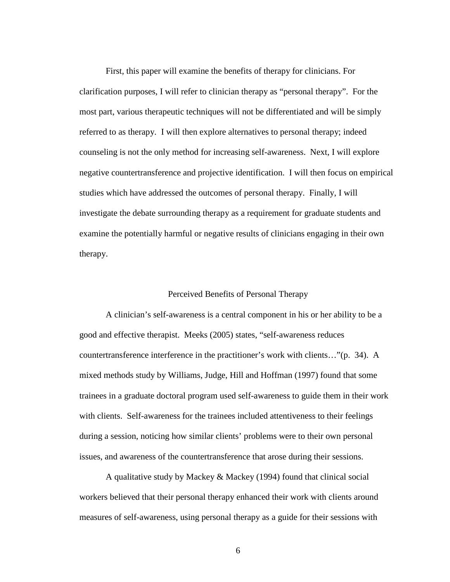First, this paper will examine the benefits of therapy for clinicians. For clarification purposes, I will refer to clinician therapy as "personal therapy". For the most part, various therapeutic techniques will not be differentiated and will be simply referred to as therapy. I will then explore alternatives to personal therapy; indeed counseling is not the only method for increasing self-awareness. Next, I will explore negative countertransference and projective identification. I will then focus on empirical studies which have addressed the outcomes of personal therapy. Finally, I will investigate the debate surrounding therapy as a requirement for graduate students and examine the potentially harmful or negative results of clinicians engaging in their own therapy.

### Perceived Benefits of Personal Therapy

A clinician's self-awareness is a central component in his or her ability to be a good and effective therapist. Meeks (2005) states, "self-awareness reduces countertransference interference in the practitioner's work with clients…"(p. 34). A mixed methods study by Williams, Judge, Hill and Hoffman (1997) found that some trainees in a graduate doctoral program used self-awareness to guide them in their work with clients. Self-awareness for the trainees included attentiveness to their feelings during a session, noticing how similar clients' problems were to their own personal issues, and awareness of the countertransference that arose during their sessions.

A qualitative study by Mackey & Mackey (1994) found that clinical social workers believed that their personal therapy enhanced their work with clients around measures of self-awareness, using personal therapy as a guide for their sessions with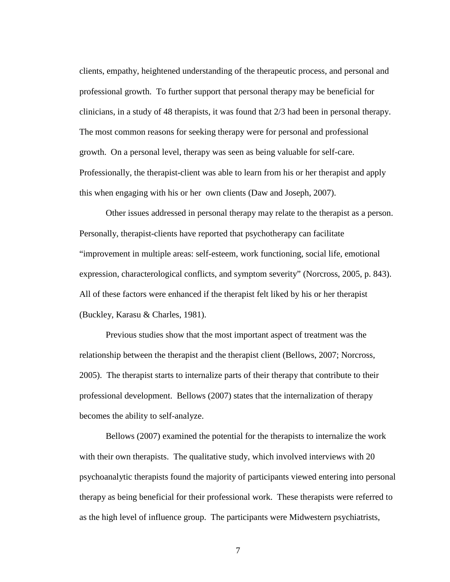clients, empathy, heightened understanding of the therapeutic process, and personal and professional growth. To further support that personal therapy may be beneficial for clinicians, in a study of 48 therapists, it was found that 2/3 had been in personal therapy. The most common reasons for seeking therapy were for personal and professional growth. On a personal level, therapy was seen as being valuable for self-care. Professionally, the therapist-client was able to learn from his or her therapist and apply this when engaging with his or her own clients (Daw and Joseph, 2007).

Other issues addressed in personal therapy may relate to the therapist as a person. Personally, therapist-clients have reported that psychotherapy can facilitate "improvement in multiple areas: self-esteem, work functioning, social life, emotional expression, characterological conflicts, and symptom severity" (Norcross, 2005, p. 843). All of these factors were enhanced if the therapist felt liked by his or her therapist (Buckley, Karasu & Charles, 1981).

Previous studies show that the most important aspect of treatment was the relationship between the therapist and the therapist client (Bellows, 2007; Norcross, 2005). The therapist starts to internalize parts of their therapy that contribute to their professional development. Bellows (2007) states that the internalization of therapy becomes the ability to self-analyze.

Bellows (2007) examined the potential for the therapists to internalize the work with their own therapists. The qualitative study, which involved interviews with 20 psychoanalytic therapists found the majority of participants viewed entering into personal therapy as being beneficial for their professional work. These therapists were referred to as the high level of influence group. The participants were Midwestern psychiatrists,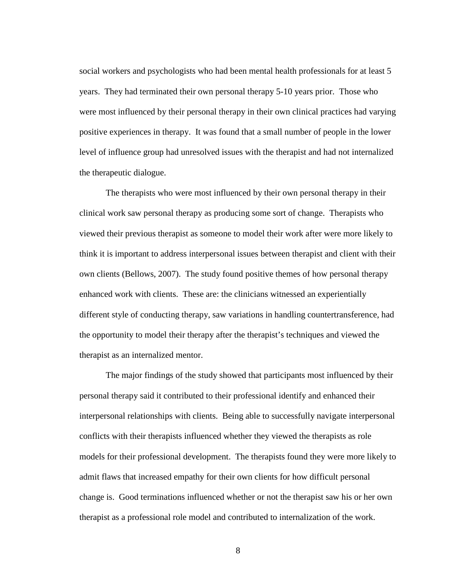social workers and psychologists who had been mental health professionals for at least 5 years. They had terminated their own personal therapy 5-10 years prior. Those who were most influenced by their personal therapy in their own clinical practices had varying positive experiences in therapy. It was found that a small number of people in the lower level of influence group had unresolved issues with the therapist and had not internalized the therapeutic dialogue.

The therapists who were most influenced by their own personal therapy in their clinical work saw personal therapy as producing some sort of change. Therapists who viewed their previous therapist as someone to model their work after were more likely to think it is important to address interpersonal issues between therapist and client with their own clients (Bellows, 2007). The study found positive themes of how personal therapy enhanced work with clients. These are: the clinicians witnessed an experientially different style of conducting therapy, saw variations in handling countertransference, had the opportunity to model their therapy after the therapist's techniques and viewed the therapist as an internalized mentor.

The major findings of the study showed that participants most influenced by their personal therapy said it contributed to their professional identify and enhanced their interpersonal relationships with clients. Being able to successfully navigate interpersonal conflicts with their therapists influenced whether they viewed the therapists as role models for their professional development. The therapists found they were more likely to admit flaws that increased empathy for their own clients for how difficult personal change is. Good terminations influenced whether or not the therapist saw his or her own therapist as a professional role model and contributed to internalization of the work.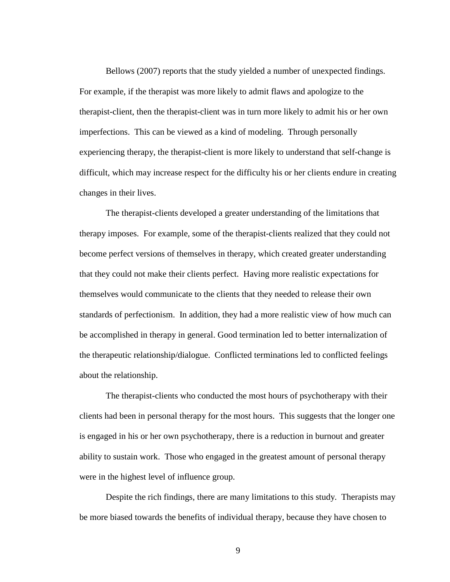Bellows (2007) reports that the study yielded a number of unexpected findings. For example, if the therapist was more likely to admit flaws and apologize to the therapist-client, then the therapist-client was in turn more likely to admit his or her own imperfections. This can be viewed as a kind of modeling. Through personally experiencing therapy, the therapist-client is more likely to understand that self-change is difficult, which may increase respect for the difficulty his or her clients endure in creating changes in their lives.

The therapist-clients developed a greater understanding of the limitations that therapy imposes. For example, some of the therapist-clients realized that they could not become perfect versions of themselves in therapy, which created greater understanding that they could not make their clients perfect. Having more realistic expectations for themselves would communicate to the clients that they needed to release their own standards of perfectionism. In addition, they had a more realistic view of how much can be accomplished in therapy in general. Good termination led to better internalization of the therapeutic relationship/dialogue. Conflicted terminations led to conflicted feelings about the relationship.

The therapist-clients who conducted the most hours of psychotherapy with their clients had been in personal therapy for the most hours. This suggests that the longer one is engaged in his or her own psychotherapy, there is a reduction in burnout and greater ability to sustain work. Those who engaged in the greatest amount of personal therapy were in the highest level of influence group.

Despite the rich findings, there are many limitations to this study. Therapists may be more biased towards the benefits of individual therapy, because they have chosen to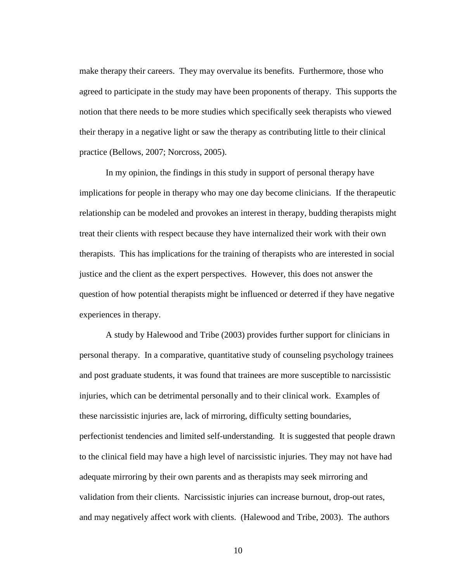make therapy their careers. They may overvalue its benefits. Furthermore, those who agreed to participate in the study may have been proponents of therapy. This supports the notion that there needs to be more studies which specifically seek therapists who viewed their therapy in a negative light or saw the therapy as contributing little to their clinical practice (Bellows, 2007; Norcross, 2005).

In my opinion, the findings in this study in support of personal therapy have implications for people in therapy who may one day become clinicians. If the therapeutic relationship can be modeled and provokes an interest in therapy, budding therapists might treat their clients with respect because they have internalized their work with their own therapists. This has implications for the training of therapists who are interested in social justice and the client as the expert perspectives. However, this does not answer the question of how potential therapists might be influenced or deterred if they have negative experiences in therapy.

A study by Halewood and Tribe (2003) provides further support for clinicians in personal therapy. In a comparative, quantitative study of counseling psychology trainees and post graduate students, it was found that trainees are more susceptible to narcissistic injuries, which can be detrimental personally and to their clinical work. Examples of these narcissistic injuries are, lack of mirroring, difficulty setting boundaries, perfectionist tendencies and limited self-understanding. It is suggested that people drawn to the clinical field may have a high level of narcissistic injuries. They may not have had adequate mirroring by their own parents and as therapists may seek mirroring and validation from their clients. Narcissistic injuries can increase burnout, drop-out rates, and may negatively affect work with clients. (Halewood and Tribe, 2003). The authors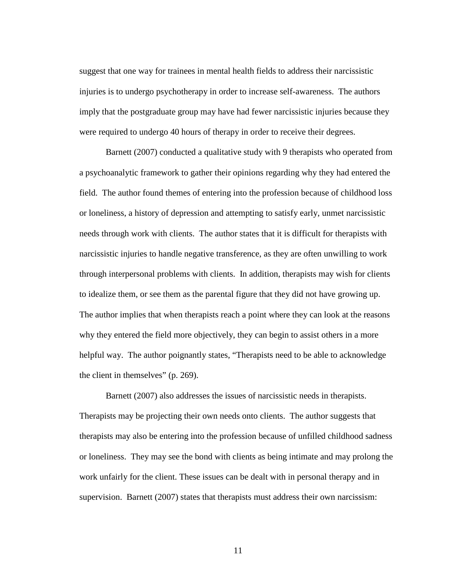suggest that one way for trainees in mental health fields to address their narcissistic injuries is to undergo psychotherapy in order to increase self-awareness. The authors imply that the postgraduate group may have had fewer narcissistic injuries because they were required to undergo 40 hours of therapy in order to receive their degrees.

Barnett (2007) conducted a qualitative study with 9 therapists who operated from a psychoanalytic framework to gather their opinions regarding why they had entered the field. The author found themes of entering into the profession because of childhood loss or loneliness, a history of depression and attempting to satisfy early, unmet narcissistic needs through work with clients. The author states that it is difficult for therapists with narcissistic injuries to handle negative transference, as they are often unwilling to work through interpersonal problems with clients. In addition, therapists may wish for clients to idealize them, or see them as the parental figure that they did not have growing up. The author implies that when therapists reach a point where they can look at the reasons why they entered the field more objectively, they can begin to assist others in a more helpful way. The author poignantly states, "Therapists need to be able to acknowledge the client in themselves" (p. 269).

Barnett (2007) also addresses the issues of narcissistic needs in therapists. Therapists may be projecting their own needs onto clients. The author suggests that therapists may also be entering into the profession because of unfilled childhood sadness or loneliness. They may see the bond with clients as being intimate and may prolong the work unfairly for the client. These issues can be dealt with in personal therapy and in supervision. Barnett (2007) states that therapists must address their own narcissism: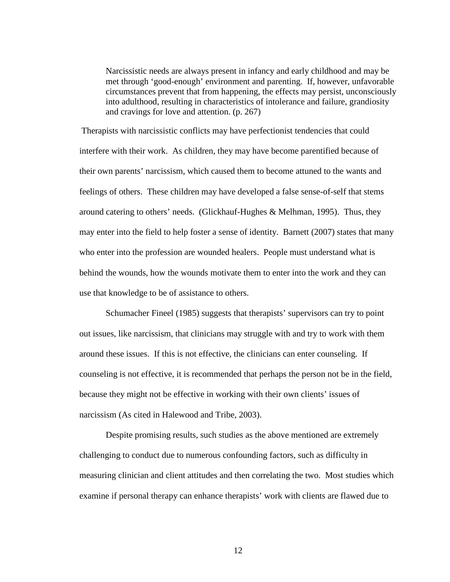Narcissistic needs are always present in infancy and early childhood and may be met through 'good-enough' environment and parenting. If, however, unfavorable circumstances prevent that from happening, the effects may persist, unconsciously into adulthood, resulting in characteristics of intolerance and failure, grandiosity and cravings for love and attention. (p. 267)

Therapists with narcissistic conflicts may have perfectionist tendencies that could interfere with their work. As children, they may have become parentified because of their own parents' narcissism, which caused them to become attuned to the wants and feelings of others. These children may have developed a false sense-of-self that stems around catering to others' needs. (Glickhauf-Hughes & Melhman, 1995). Thus, they may enter into the field to help foster a sense of identity. Barnett (2007) states that many who enter into the profession are wounded healers. People must understand what is behind the wounds, how the wounds motivate them to enter into the work and they can use that knowledge to be of assistance to others.

Schumacher Fineel (1985) suggests that therapists' supervisors can try to point out issues, like narcissism, that clinicians may struggle with and try to work with them around these issues. If this is not effective, the clinicians can enter counseling. If counseling is not effective, it is recommended that perhaps the person not be in the field, because they might not be effective in working with their own clients' issues of narcissism (As cited in Halewood and Tribe, 2003).

Despite promising results, such studies as the above mentioned are extremely challenging to conduct due to numerous confounding factors, such as difficulty in measuring clinician and client attitudes and then correlating the two. Most studies which examine if personal therapy can enhance therapists' work with clients are flawed due to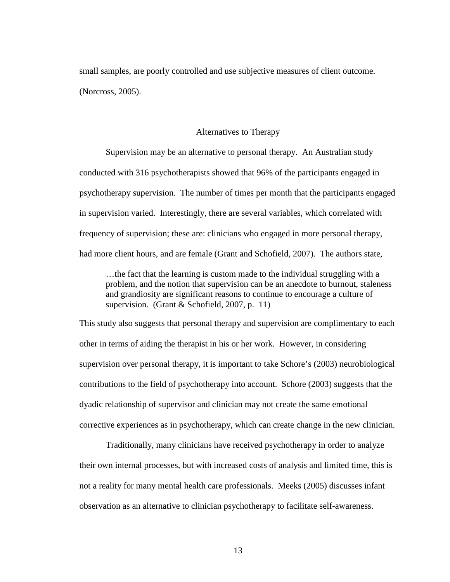small samples, are poorly controlled and use subjective measures of client outcome. (Norcross, 2005).

#### Alternatives to Therapy

Supervision may be an alternative to personal therapy. An Australian study conducted with 316 psychotherapists showed that 96% of the participants engaged in psychotherapy supervision. The number of times per month that the participants engaged in supervision varied. Interestingly, there are several variables, which correlated with frequency of supervision; these are: clinicians who engaged in more personal therapy, had more client hours, and are female (Grant and Schofield, 2007). The authors state,

…the fact that the learning is custom made to the individual struggling with a problem, and the notion that supervision can be an anecdote to burnout, staleness and grandiosity are significant reasons to continue to encourage a culture of supervision. (Grant & Schofield, 2007, p. 11)

This study also suggests that personal therapy and supervision are complimentary to each other in terms of aiding the therapist in his or her work. However, in considering supervision over personal therapy, it is important to take Schore's (2003) neurobiological contributions to the field of psychotherapy into account. Schore (2003) suggests that the dyadic relationship of supervisor and clinician may not create the same emotional corrective experiences as in psychotherapy, which can create change in the new clinician.

Traditionally, many clinicians have received psychotherapy in order to analyze their own internal processes, but with increased costs of analysis and limited time, this is not a reality for many mental health care professionals. Meeks (2005) discusses infant observation as an alternative to clinician psychotherapy to facilitate self-awareness.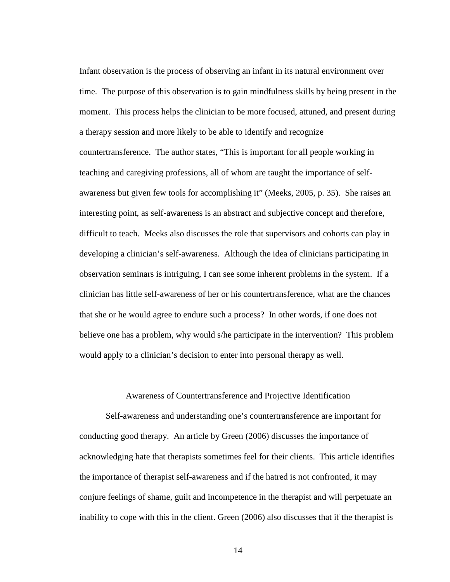Infant observation is the process of observing an infant in its natural environment over time. The purpose of this observation is to gain mindfulness skills by being present in the moment. This process helps the clinician to be more focused, attuned, and present during a therapy session and more likely to be able to identify and recognize countertransference. The author states, "This is important for all people working in teaching and caregiving professions, all of whom are taught the importance of selfawareness but given few tools for accomplishing it" (Meeks, 2005, p. 35). She raises an interesting point, as self-awareness is an abstract and subjective concept and therefore, difficult to teach. Meeks also discusses the role that supervisors and cohorts can play in developing a clinician's self-awareness. Although the idea of clinicians participating in observation seminars is intriguing, I can see some inherent problems in the system. If a clinician has little self-awareness of her or his countertransference, what are the chances that she or he would agree to endure such a process? In other words, if one does not believe one has a problem, why would s/he participate in the intervention? This problem would apply to a clinician's decision to enter into personal therapy as well.

# Awareness of Countertransference and Projective Identification

Self-awareness and understanding one's countertransference are important for conducting good therapy. An article by Green (2006) discusses the importance of acknowledging hate that therapists sometimes feel for their clients. This article identifies the importance of therapist self-awareness and if the hatred is not confronted, it may conjure feelings of shame, guilt and incompetence in the therapist and will perpetuate an inability to cope with this in the client. Green (2006) also discusses that if the therapist is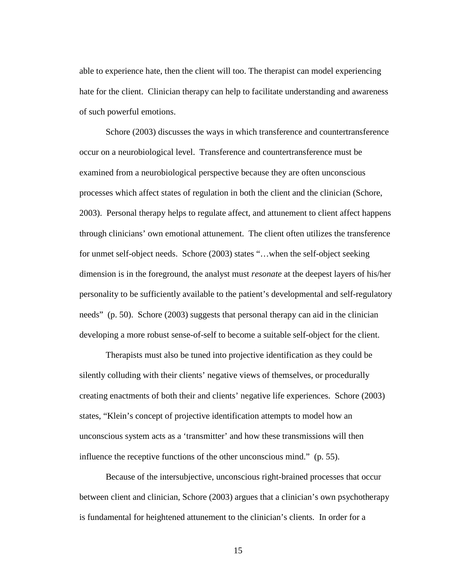able to experience hate, then the client will too. The therapist can model experiencing hate for the client. Clinician therapy can help to facilitate understanding and awareness of such powerful emotions.

Schore (2003) discusses the ways in which transference and countertransference occur on a neurobiological level. Transference and countertransference must be examined from a neurobiological perspective because they are often unconscious processes which affect states of regulation in both the client and the clinician (Schore, 2003). Personal therapy helps to regulate affect, and attunement to client affect happens through clinicians' own emotional attunement. The client often utilizes the transference for unmet self-object needs. Schore (2003) states "…when the self-object seeking dimension is in the foreground, the analyst must *resonate* at the deepest layers of his/her personality to be sufficiently available to the patient's developmental and self-regulatory needs" (p. 50). Schore (2003) suggests that personal therapy can aid in the clinician developing a more robust sense-of-self to become a suitable self-object for the client.

Therapists must also be tuned into projective identification as they could be silently colluding with their clients' negative views of themselves, or procedurally creating enactments of both their and clients' negative life experiences. Schore (2003) states, "Klein's concept of projective identification attempts to model how an unconscious system acts as a 'transmitter' and how these transmissions will then influence the receptive functions of the other unconscious mind." (p. 55).

Because of the intersubjective, unconscious right-brained processes that occur between client and clinician, Schore (2003) argues that a clinician's own psychotherapy is fundamental for heightened attunement to the clinician's clients. In order for a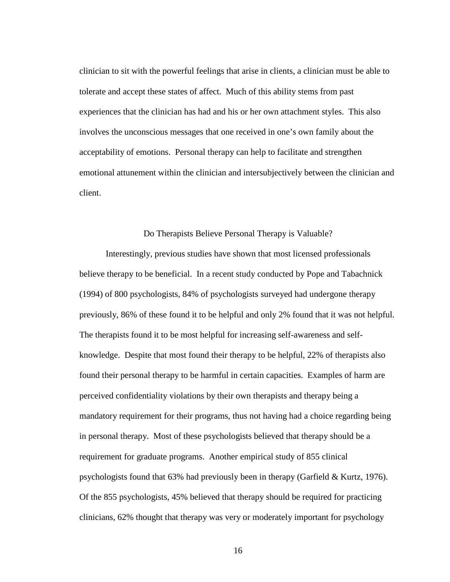clinician to sit with the powerful feelings that arise in clients, a clinician must be able to tolerate and accept these states of affect. Much of this ability stems from past experiences that the clinician has had and his or her own attachment styles. This also involves the unconscious messages that one received in one's own family about the acceptability of emotions. Personal therapy can help to facilitate and strengthen emotional attunement within the clinician and intersubjectively between the clinician and client.

#### Do Therapists Believe Personal Therapy is Valuable?

Interestingly, previous studies have shown that most licensed professionals believe therapy to be beneficial. In a recent study conducted by Pope and Tabachnick (1994) of 800 psychologists, 84% of psychologists surveyed had undergone therapy previously, 86% of these found it to be helpful and only 2% found that it was not helpful. The therapists found it to be most helpful for increasing self-awareness and selfknowledge. Despite that most found their therapy to be helpful, 22% of therapists also found their personal therapy to be harmful in certain capacities. Examples of harm are perceived confidentiality violations by their own therapists and therapy being a mandatory requirement for their programs, thus not having had a choice regarding being in personal therapy. Most of these psychologists believed that therapy should be a requirement for graduate programs. Another empirical study of 855 clinical psychologists found that 63% had previously been in therapy (Garfield & Kurtz, 1976). Of the 855 psychologists, 45% believed that therapy should be required for practicing clinicians, 62% thought that therapy was very or moderately important for psychology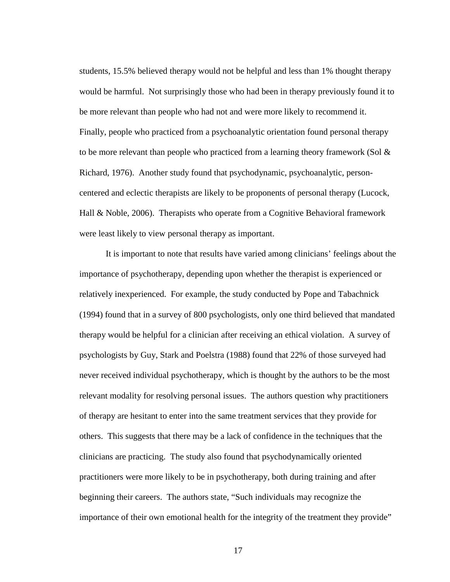students, 15.5% believed therapy would not be helpful and less than 1% thought therapy would be harmful. Not surprisingly those who had been in therapy previously found it to be more relevant than people who had not and were more likely to recommend it. Finally, people who practiced from a psychoanalytic orientation found personal therapy to be more relevant than people who practiced from a learning theory framework (Sol  $\&$ Richard, 1976). Another study found that psychodynamic, psychoanalytic, personcentered and eclectic therapists are likely to be proponents of personal therapy (Lucock, Hall & Noble, 2006). Therapists who operate from a Cognitive Behavioral framework were least likely to view personal therapy as important.

It is important to note that results have varied among clinicians' feelings about the importance of psychotherapy, depending upon whether the therapist is experienced or relatively inexperienced. For example, the study conducted by Pope and Tabachnick (1994) found that in a survey of 800 psychologists, only one third believed that mandated therapy would be helpful for a clinician after receiving an ethical violation. A survey of psychologists by Guy, Stark and Poelstra (1988) found that 22% of those surveyed had never received individual psychotherapy, which is thought by the authors to be the most relevant modality for resolving personal issues. The authors question why practitioners of therapy are hesitant to enter into the same treatment services that they provide for others. This suggests that there may be a lack of confidence in the techniques that the clinicians are practicing. The study also found that psychodynamically oriented practitioners were more likely to be in psychotherapy, both during training and after beginning their careers. The authors state, "Such individuals may recognize the importance of their own emotional health for the integrity of the treatment they provide"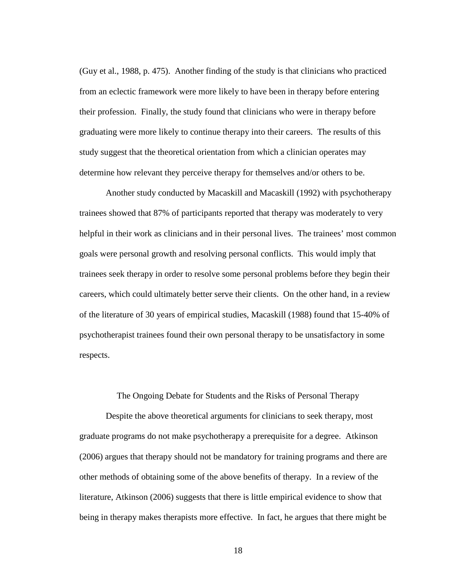(Guy et al., 1988, p. 475). Another finding of the study is that clinicians who practiced from an eclectic framework were more likely to have been in therapy before entering their profession. Finally, the study found that clinicians who were in therapy before graduating were more likely to continue therapy into their careers. The results of this study suggest that the theoretical orientation from which a clinician operates may determine how relevant they perceive therapy for themselves and/or others to be.

Another study conducted by Macaskill and Macaskill (1992) with psychotherapy trainees showed that 87% of participants reported that therapy was moderately to very helpful in their work as clinicians and in their personal lives. The trainees' most common goals were personal growth and resolving personal conflicts. This would imply that trainees seek therapy in order to resolve some personal problems before they begin their careers, which could ultimately better serve their clients. On the other hand, in a review of the literature of 30 years of empirical studies, Macaskill (1988) found that 15-40% of psychotherapist trainees found their own personal therapy to be unsatisfactory in some respects.

The Ongoing Debate for Students and the Risks of Personal Therapy

Despite the above theoretical arguments for clinicians to seek therapy, most graduate programs do not make psychotherapy a prerequisite for a degree. Atkinson (2006) argues that therapy should not be mandatory for training programs and there are other methods of obtaining some of the above benefits of therapy. In a review of the literature, Atkinson (2006) suggests that there is little empirical evidence to show that being in therapy makes therapists more effective. In fact, he argues that there might be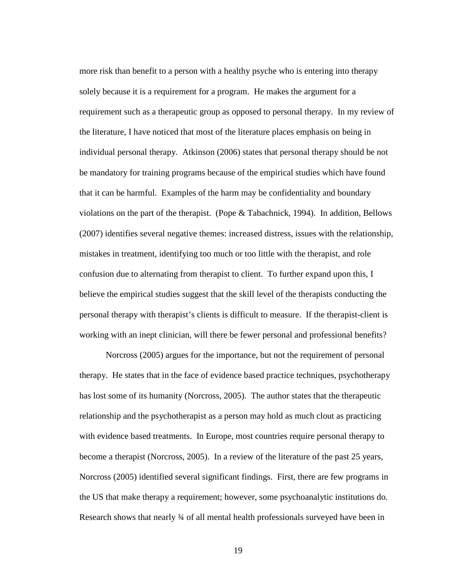more risk than benefit to a person with a healthy psyche who is entering into therapy solely because it is a requirement for a program. He makes the argument for a requirement such as a therapeutic group as opposed to personal therapy. In my review of the literature, I have noticed that most of the literature places emphasis on being in individual personal therapy. Atkinson (2006) states that personal therapy should be not be mandatory for training programs because of the empirical studies which have found that it can be harmful. Examples of the harm may be confidentiality and boundary violations on the part of the therapist. (Pope & Tabachnick, 1994). In addition, Bellows (2007) identifies several negative themes: increased distress, issues with the relationship, mistakes in treatment, identifying too much or too little with the therapist, and role confusion due to alternating from therapist to client. To further expand upon this, I believe the empirical studies suggest that the skill level of the therapists conducting the personal therapy with therapist's clients is difficult to measure. If the therapist-client is working with an inept clinician, will there be fewer personal and professional benefits?

Norcross (2005) argues for the importance, but not the requirement of personal therapy. He states that in the face of evidence based practice techniques, psychotherapy has lost some of its humanity (Norcross, 2005). The author states that the therapeutic relationship and the psychotherapist as a person may hold as much clout as practicing with evidence based treatments. In Europe, most countries require personal therapy to become a therapist (Norcross, 2005). In a review of the literature of the past 25 years, Norcross (2005) identified several significant findings. First, there are few programs in the US that make therapy a requirement; however, some psychoanalytic institutions do. Research shows that nearly 34 of all mental health professionals surveyed have been in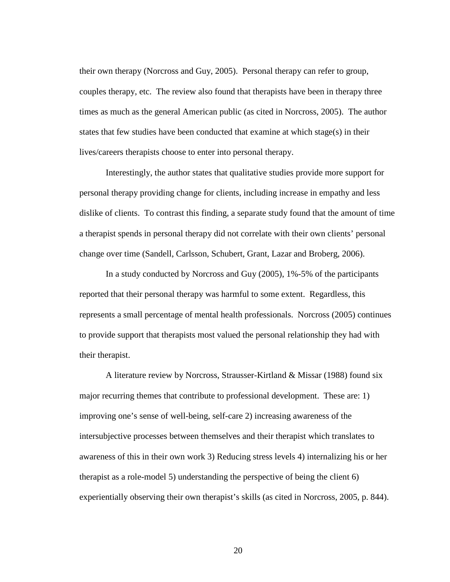their own therapy (Norcross and Guy, 2005). Personal therapy can refer to group, couples therapy, etc. The review also found that therapists have been in therapy three times as much as the general American public (as cited in Norcross, 2005). The author states that few studies have been conducted that examine at which stage(s) in their lives/careers therapists choose to enter into personal therapy.

Interestingly, the author states that qualitative studies provide more support for personal therapy providing change for clients, including increase in empathy and less dislike of clients. To contrast this finding, a separate study found that the amount of time a therapist spends in personal therapy did not correlate with their own clients' personal change over time (Sandell, Carlsson, Schubert, Grant, Lazar and Broberg, 2006).

In a study conducted by Norcross and Guy (2005), 1%-5% of the participants reported that their personal therapy was harmful to some extent. Regardless, this represents a small percentage of mental health professionals. Norcross (2005) continues to provide support that therapists most valued the personal relationship they had with their therapist.

A literature review by Norcross, Strausser-Kirtland & Missar (1988) found six major recurring themes that contribute to professional development. These are: 1) improving one's sense of well-being, self-care 2) increasing awareness of the intersubjective processes between themselves and their therapist which translates to awareness of this in their own work 3) Reducing stress levels 4) internalizing his or her therapist as a role-model 5) understanding the perspective of being the client 6) experientially observing their own therapist's skills (as cited in Norcross, 2005, p. 844).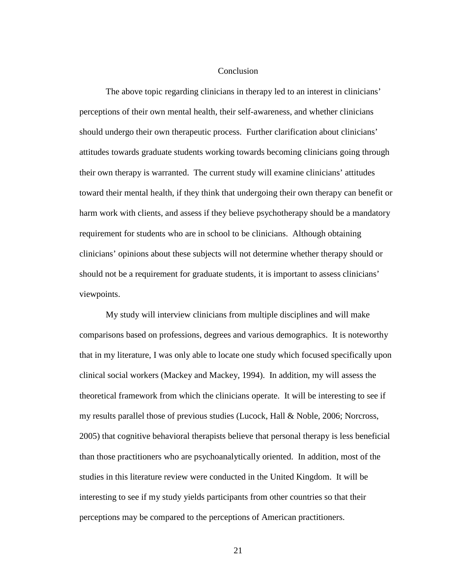#### **Conclusion**

The above topic regarding clinicians in therapy led to an interest in clinicians' perceptions of their own mental health, their self-awareness, and whether clinicians should undergo their own therapeutic process. Further clarification about clinicians' attitudes towards graduate students working towards becoming clinicians going through their own therapy is warranted. The current study will examine clinicians' attitudes toward their mental health, if they think that undergoing their own therapy can benefit or harm work with clients, and assess if they believe psychotherapy should be a mandatory requirement for students who are in school to be clinicians. Although obtaining clinicians' opinions about these subjects will not determine whether therapy should or should not be a requirement for graduate students, it is important to assess clinicians' viewpoints.

My study will interview clinicians from multiple disciplines and will make comparisons based on professions, degrees and various demographics. It is noteworthy that in my literature, I was only able to locate one study which focused specifically upon clinical social workers (Mackey and Mackey, 1994). In addition, my will assess the theoretical framework from which the clinicians operate. It will be interesting to see if my results parallel those of previous studies (Lucock, Hall & Noble, 2006; Norcross, 2005) that cognitive behavioral therapists believe that personal therapy is less beneficial than those practitioners who are psychoanalytically oriented. In addition, most of the studies in this literature review were conducted in the United Kingdom. It will be interesting to see if my study yields participants from other countries so that their perceptions may be compared to the perceptions of American practitioners.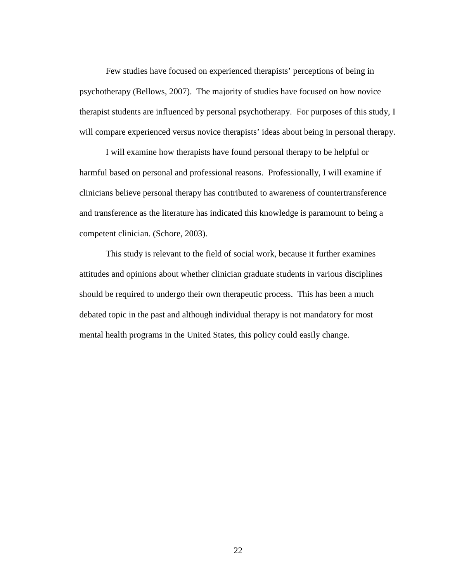Few studies have focused on experienced therapists' perceptions of being in psychotherapy (Bellows, 2007). The majority of studies have focused on how novice therapist students are influenced by personal psychotherapy. For purposes of this study, I will compare experienced versus novice therapists' ideas about being in personal therapy.

I will examine how therapists have found personal therapy to be helpful or harmful based on personal and professional reasons. Professionally, I will examine if clinicians believe personal therapy has contributed to awareness of countertransference and transference as the literature has indicated this knowledge is paramount to being a competent clinician. (Schore, 2003).

This study is relevant to the field of social work, because it further examines attitudes and opinions about whether clinician graduate students in various disciplines should be required to undergo their own therapeutic process. This has been a much debated topic in the past and although individual therapy is not mandatory for most mental health programs in the United States, this policy could easily change.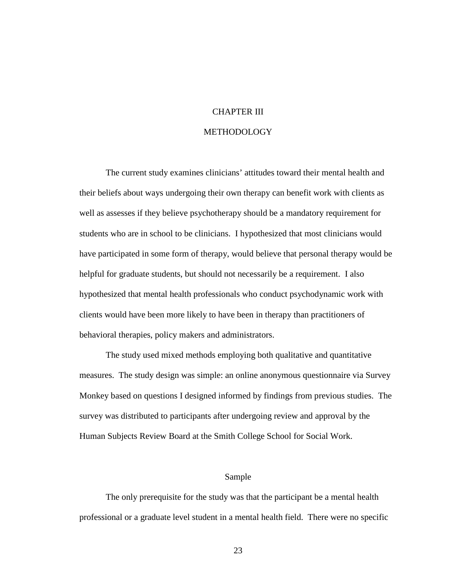# CHAPTER III

#### METHODOLOGY

The current study examines clinicians' attitudes toward their mental health and their beliefs about ways undergoing their own therapy can benefit work with clients as well as assesses if they believe psychotherapy should be a mandatory requirement for students who are in school to be clinicians. I hypothesized that most clinicians would have participated in some form of therapy, would believe that personal therapy would be helpful for graduate students, but should not necessarily be a requirement. I also hypothesized that mental health professionals who conduct psychodynamic work with clients would have been more likely to have been in therapy than practitioners of behavioral therapies, policy makers and administrators.

The study used mixed methods employing both qualitative and quantitative measures. The study design was simple: an online anonymous questionnaire via Survey Monkey based on questions I designed informed by findings from previous studies. The survey was distributed to participants after undergoing review and approval by the Human Subjects Review Board at the Smith College School for Social Work.

# Sample

The only prerequisite for the study was that the participant be a mental health professional or a graduate level student in a mental health field. There were no specific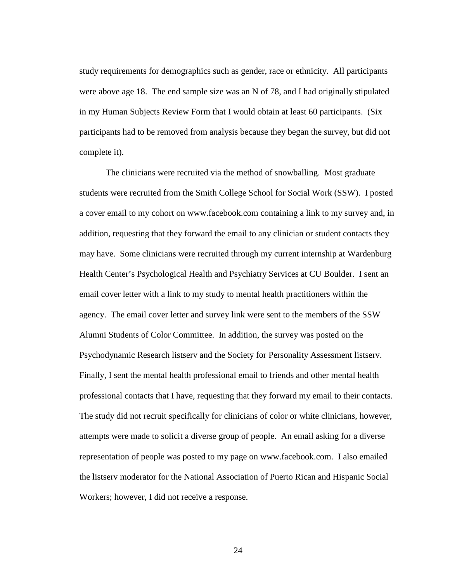study requirements for demographics such as gender, race or ethnicity. All participants were above age 18. The end sample size was an N of 78, and I had originally stipulated in my Human Subjects Review Form that I would obtain at least 60 participants. (Six participants had to be removed from analysis because they began the survey, but did not complete it).

The clinicians were recruited via the method of snowballing. Most graduate students were recruited from the Smith College School for Social Work (SSW). I posted a cover email to my cohort on www.facebook.com containing a link to my survey and, in addition, requesting that they forward the email to any clinician or student contacts they may have. Some clinicians were recruited through my current internship at Wardenburg Health Center's Psychological Health and Psychiatry Services at CU Boulder. I sent an email cover letter with a link to my study to mental health practitioners within the agency. The email cover letter and survey link were sent to the members of the SSW Alumni Students of Color Committee. In addition, the survey was posted on the Psychodynamic Research listserv and the Society for Personality Assessment listserv. Finally, I sent the mental health professional email to friends and other mental health professional contacts that I have, requesting that they forward my email to their contacts. The study did not recruit specifically for clinicians of color or white clinicians, however, attempts were made to solicit a diverse group of people. An email asking for a diverse representation of people was posted to my page on www.facebook.com. I also emailed the listserv moderator for the National Association of Puerto Rican and Hispanic Social Workers; however, I did not receive a response.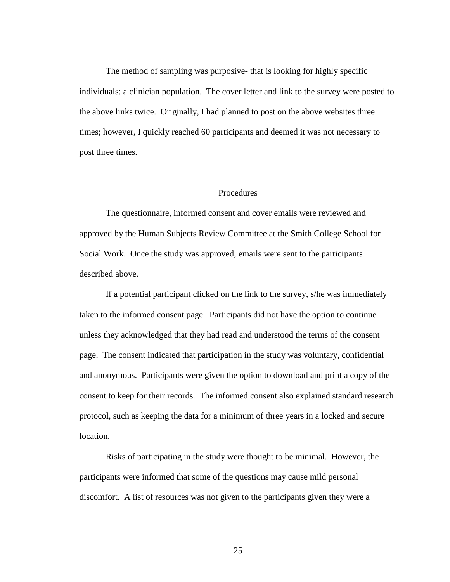The method of sampling was purposive- that is looking for highly specific individuals: a clinician population. The cover letter and link to the survey were posted to the above links twice. Originally, I had planned to post on the above websites three times; however, I quickly reached 60 participants and deemed it was not necessary to post three times.

### Procedures

The questionnaire, informed consent and cover emails were reviewed and approved by the Human Subjects Review Committee at the Smith College School for Social Work. Once the study was approved, emails were sent to the participants described above.

If a potential participant clicked on the link to the survey, s/he was immediately taken to the informed consent page. Participants did not have the option to continue unless they acknowledged that they had read and understood the terms of the consent page. The consent indicated that participation in the study was voluntary, confidential and anonymous. Participants were given the option to download and print a copy of the consent to keep for their records. The informed consent also explained standard research protocol, such as keeping the data for a minimum of three years in a locked and secure location.

Risks of participating in the study were thought to be minimal. However, the participants were informed that some of the questions may cause mild personal discomfort. A list of resources was not given to the participants given they were a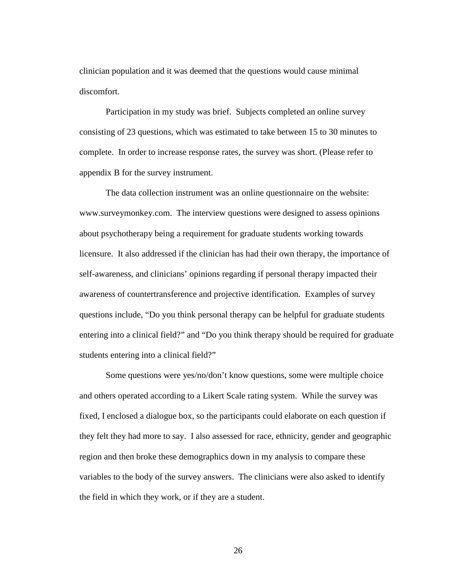clinician population and it was deemed that the questions would cause minimal discomfort.

Participation in my study was brief. Subjects completed an online survey consisting of 23 questions, which was estimated to take between 15 to 30 minutes to complete. In order to increase response rates, the survey was short. (Please refer to appendix B for the survey instrument.

The data collection instrument was an online questionnaire on the website: www.surveymonkey.com. The interview questions were designed to assess opinions about psychotherapy being a requirement for graduate students working towards licensure. It also addressed if the clinician has had their own therapy, the importance of self-awareness, and clinicians' opinions regarding if personal therapy impacted their awareness of countertransference and projective identification. Examples of survey questions include, "Do you think personal therapy can be helpful for graduate students entering into a clinical field?" and "Do you think therapy should be required for graduate students entering into a clinical field?"

Some questions were yes/no/don't know questions, some were multiple choice and others operated according to a Likert Scale rating system. While the survey was fixed, I enclosed a dialogue box, so the participants could elaborate on each question if they felt they had more to say. I also assessed for race, ethnicity, gender and geographic region and then broke these demographics down in my analysis to compare these variables to the body of the survey answers. The clinicians were also asked to identify the field in which they work, or if they are a student.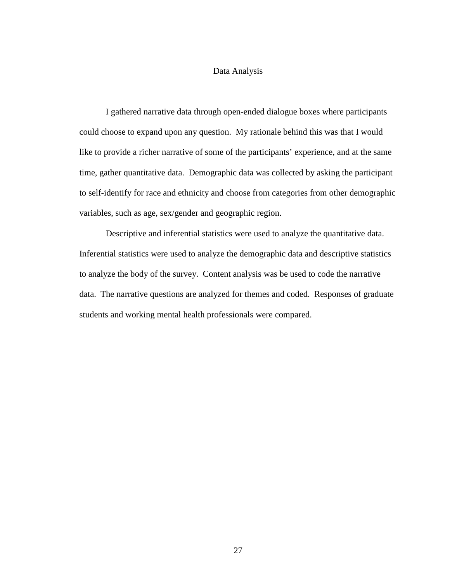### Data Analysis

I gathered narrative data through open-ended dialogue boxes where participants could choose to expand upon any question. My rationale behind this was that I would like to provide a richer narrative of some of the participants' experience, and at the same time, gather quantitative data. Demographic data was collected by asking the participant to self-identify for race and ethnicity and choose from categories from other demographic variables, such as age, sex/gender and geographic region.

Descriptive and inferential statistics were used to analyze the quantitative data. Inferential statistics were used to analyze the demographic data and descriptive statistics to analyze the body of the survey. Content analysis was be used to code the narrative data. The narrative questions are analyzed for themes and coded. Responses of graduate students and working mental health professionals were compared.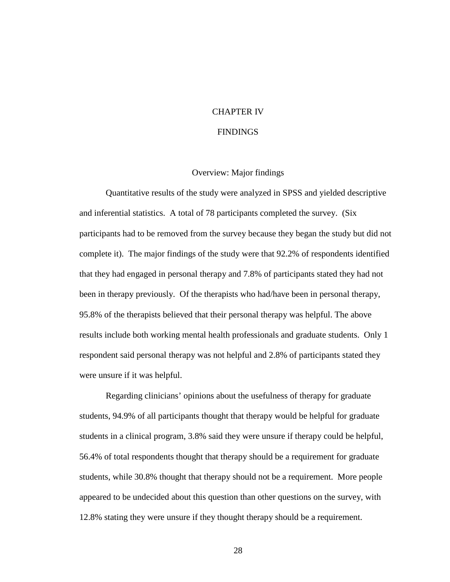### CHAPTER IV

#### **FINDINGS**

#### Overview: Major findings

Quantitative results of the study were analyzed in SPSS and yielded descriptive and inferential statistics. A total of 78 participants completed the survey. (Six participants had to be removed from the survey because they began the study but did not complete it). The major findings of the study were that 92.2% of respondents identified that they had engaged in personal therapy and 7.8% of participants stated they had not been in therapy previously. Of the therapists who had/have been in personal therapy, 95.8% of the therapists believed that their personal therapy was helpful. The above results include both working mental health professionals and graduate students. Only 1 respondent said personal therapy was not helpful and 2.8% of participants stated they were unsure if it was helpful.

Regarding clinicians' opinions about the usefulness of therapy for graduate students, 94.9% of all participants thought that therapy would be helpful for graduate students in a clinical program, 3.8% said they were unsure if therapy could be helpful, 56.4% of total respondents thought that therapy should be a requirement for graduate students, while 30.8% thought that therapy should not be a requirement. More people appeared to be undecided about this question than other questions on the survey, with 12.8% stating they were unsure if they thought therapy should be a requirement.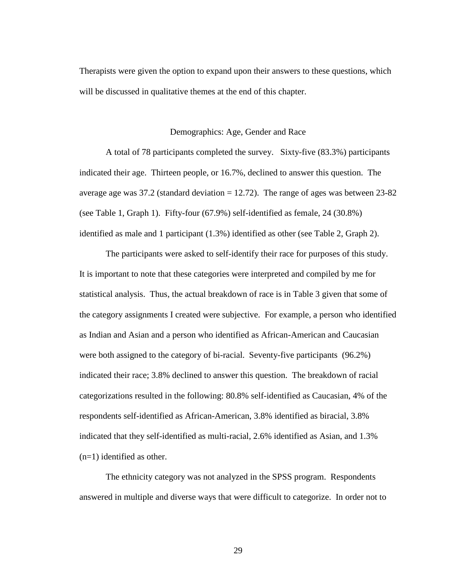Therapists were given the option to expand upon their answers to these questions, which will be discussed in qualitative themes at the end of this chapter.

#### Demographics: Age, Gender and Race

A total of 78 participants completed the survey. Sixty-five (83.3%) participants indicated their age. Thirteen people, or 16.7%, declined to answer this question. The average age was  $37.2$  (standard deviation = 12.72). The range of ages was between  $23-82$ (see Table 1, Graph 1). Fifty-four (67.9%) self-identified as female, 24 (30.8%) identified as male and 1 participant (1.3%) identified as other (see Table 2, Graph 2).

The participants were asked to self-identify their race for purposes of this study. It is important to note that these categories were interpreted and compiled by me for statistical analysis. Thus, the actual breakdown of race is in Table 3 given that some of the category assignments I created were subjective. For example, a person who identified as Indian and Asian and a person who identified as African-American and Caucasian were both assigned to the category of bi-racial. Seventy-five participants (96.2%) indicated their race; 3.8% declined to answer this question. The breakdown of racial categorizations resulted in the following: 80.8% self-identified as Caucasian, 4% of the respondents self-identified as African-American, 3.8% identified as biracial, 3.8% indicated that they self-identified as multi-racial, 2.6% identified as Asian, and 1.3% (n=1) identified as other.

The ethnicity category was not analyzed in the SPSS program. Respondents answered in multiple and diverse ways that were difficult to categorize. In order not to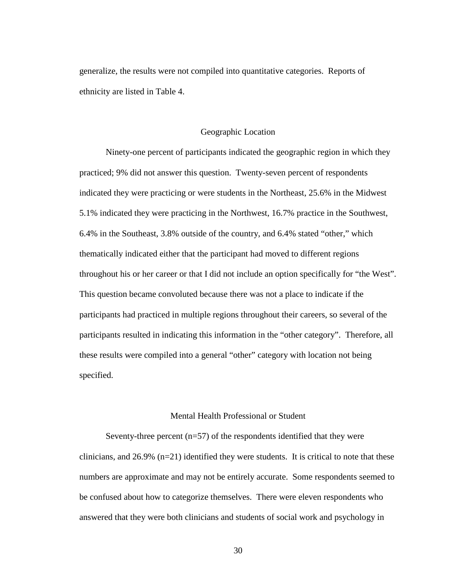generalize, the results were not compiled into quantitative categories. Reports of ethnicity are listed in Table 4.

#### Geographic Location

Ninety-one percent of participants indicated the geographic region in which they practiced; 9% did not answer this question. Twenty-seven percent of respondents indicated they were practicing or were students in the Northeast, 25.6% in the Midwest 5.1% indicated they were practicing in the Northwest, 16.7% practice in the Southwest, 6.4% in the Southeast, 3.8% outside of the country, and 6.4% stated "other," which thematically indicated either that the participant had moved to different regions throughout his or her career or that I did not include an option specifically for "the West". This question became convoluted because there was not a place to indicate if the participants had practiced in multiple regions throughout their careers, so several of the participants resulted in indicating this information in the "other category". Therefore, all these results were compiled into a general "other" category with location not being specified.

### Mental Health Professional or Student

Seventy-three percent  $(n=57)$  of the respondents identified that they were clinicians, and 26.9% (n=21) identified they were students.It is critical to note that these numbers are approximate and may not be entirely accurate. Some respondents seemed to be confused about how to categorize themselves. There were eleven respondents who answered that they were both clinicians and students of social work and psychology in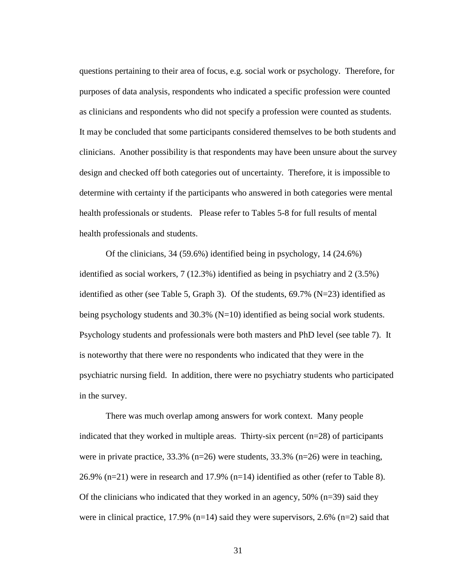questions pertaining to their area of focus, e.g. social work or psychology. Therefore, for purposes of data analysis, respondents who indicated a specific profession were counted as clinicians and respondents who did not specify a profession were counted as students. It may be concluded that some participants considered themselves to be both students and clinicians. Another possibility is that respondents may have been unsure about the survey design and checked off both categories out of uncertainty. Therefore, it is impossible to determine with certainty if the participants who answered in both categories were mental health professionals or students. Please refer to Tables 5-8 for full results of mental health professionals and students.

Of the clinicians, 34 (59.6%) identified being in psychology, 14 (24.6%) identified as social workers, 7 (12.3%) identified as being in psychiatry and 2 (3.5%) identified as other (see Table 5, Graph 3). Of the students,  $69.7\%$  (N=23) identified as being psychology students and 30.3% (N=10) identified as being social work students. Psychology students and professionals were both masters and PhD level (see table 7). It is noteworthy that there were no respondents who indicated that they were in the psychiatric nursing field. In addition, there were no psychiatry students who participated in the survey.

There was much overlap among answers for work context. Many people indicated that they worked in multiple areas. Thirty-six percent  $(n=28)$  of participants were in private practice, 33.3% (n=26) were students, 33.3% (n=26) were in teaching, 26.9% (n=21) were in research and 17.9% (n=14) identified as other (refer to Table 8). Of the clinicians who indicated that they worked in an agency, 50% (n=39) said they were in clinical practice, 17.9% (n=14) said they were supervisors, 2.6% (n=2) said that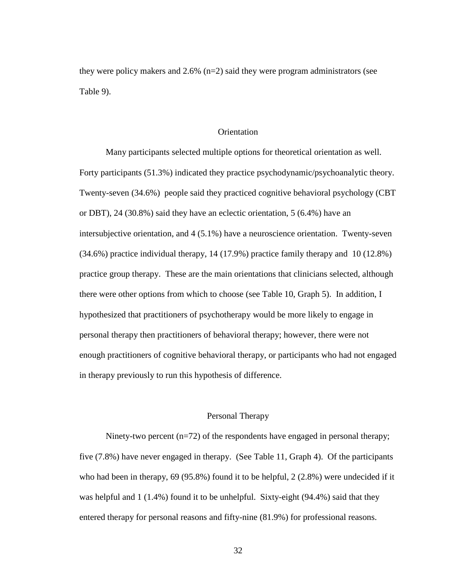they were policy makers and  $2.6\%$  (n=2) said they were program administrators (see Table 9).

### **Orientation**

Many participants selected multiple options for theoretical orientation as well. Forty participants (51.3%) indicated they practice psychodynamic/psychoanalytic theory. Twenty-seven (34.6%) people said they practiced cognitive behavioral psychology (CBT or DBT), 24 (30.8%) said they have an eclectic orientation, 5 (6.4%) have an intersubjective orientation, and 4 (5.1%) have a neuroscience orientation. Twenty-seven (34.6%) practice individual therapy, 14 (17.9%) practice family therapy and 10 (12.8%) practice group therapy. These are the main orientations that clinicians selected, although there were other options from which to choose (see Table 10, Graph 5). In addition, I hypothesized that practitioners of psychotherapy would be more likely to engage in personal therapy then practitioners of behavioral therapy; however, there were not enough practitioners of cognitive behavioral therapy, or participants who had not engaged in therapy previously to run this hypothesis of difference.

### Personal Therapy

Ninety-two percent (n=72) of the respondents have engaged in personal therapy; five (7.8%) have never engaged in therapy. (See Table 11, Graph 4). Of the participants who had been in therapy, 69 (95.8%) found it to be helpful, 2 (2.8%) were undecided if it was helpful and 1 (1.4%) found it to be unhelpful. Sixty-eight (94.4%) said that they entered therapy for personal reasons and fifty-nine (81.9%) for professional reasons.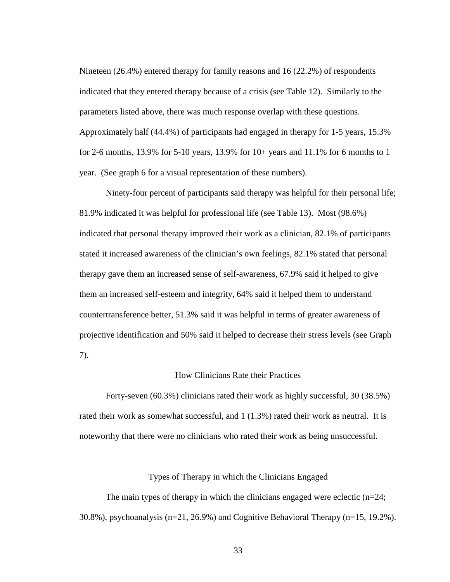Nineteen (26.4%) entered therapy for family reasons and 16 (22.2%) of respondents indicated that they entered therapy because of a crisis (see Table 12). Similarly to the parameters listed above, there was much response overlap with these questions. Approximately half (44.4%) of participants had engaged in therapy for 1-5 years, 15.3% for 2-6 months, 13.9% for 5-10 years, 13.9% for  $10+$  years and 11.1% for 6 months to 1 year. (See graph 6 for a visual representation of these numbers).

Ninety-four percent of participants said therapy was helpful for their personal life; 81.9% indicated it was helpful for professional life (see Table 13). Most (98.6%) indicated that personal therapy improved their work as a clinician, 82.1% of participants stated it increased awareness of the clinician's own feelings, 82.1% stated that personal therapy gave them an increased sense of self-awareness, 67.9% said it helped to give them an increased self-esteem and integrity, 64% said it helped them to understand countertransference better, 51.3% said it was helpful in terms of greater awareness of projective identification and 50% said it helped to decrease their stress levels (see Graph 7).

### How Clinicians Rate their Practices

Forty-seven (60.3%) clinicians rated their work as highly successful, 30 (38.5%) rated their work as somewhat successful, and 1 (1.3%) rated their work as neutral. It is noteworthy that there were no clinicians who rated their work as being unsuccessful.

### Types of Therapy in which the Clinicians Engaged

The main types of therapy in which the clinicians engaged were eclectic  $(n=24;$ 30.8%), psychoanalysis (n=21, 26.9%) and Cognitive Behavioral Therapy (n=15, 19.2%).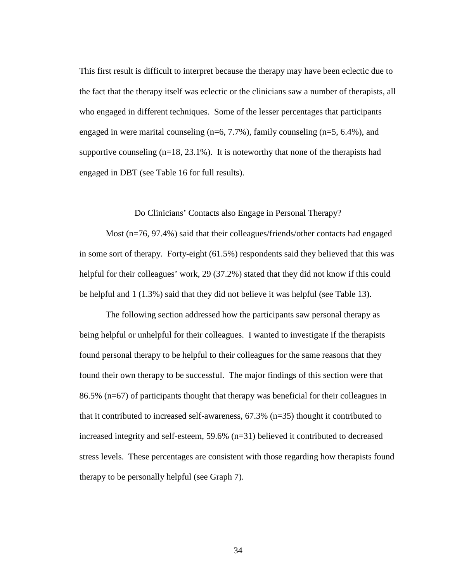This first result is difficult to interpret because the therapy may have been eclectic due to the fact that the therapy itself was eclectic or the clinicians saw a number of therapists, all who engaged in different techniques. Some of the lesser percentages that participants engaged in were marital counseling (n=6, 7.7%), family counseling (n=5, 6.4%), and supportive counseling  $(n=18, 23.1\%)$ . It is noteworthy that none of the therapists had engaged in DBT (see Table 16 for full results).

#### Do Clinicians' Contacts also Engage in Personal Therapy?

Most (n=76, 97.4%) said that their colleagues/friends/other contacts had engaged in some sort of therapy. Forty-eight (61.5%) respondents said they believed that this was helpful for their colleagues' work, 29 (37.2%) stated that they did not know if this could be helpful and 1 (1.3%) said that they did not believe it was helpful (see Table 13).

The following section addressed how the participants saw personal therapy as being helpful or unhelpful for their colleagues. I wanted to investigate if the therapists found personal therapy to be helpful to their colleagues for the same reasons that they found their own therapy to be successful. The major findings of this section were that 86.5% (n=67) of participants thought that therapy was beneficial for their colleagues in that it contributed to increased self-awareness, 67.3% (n=35) thought it contributed to increased integrity and self-esteem, 59.6% (n=31) believed it contributed to decreased stress levels. These percentages are consistent with those regarding how therapists found therapy to be personally helpful (see Graph 7).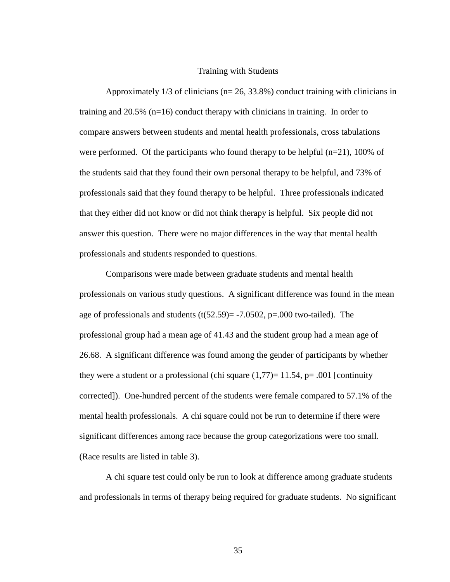#### Training with Students

Approximately  $1/3$  of clinicians ( $n= 26, 33.8\%$ ) conduct training with clinicians in training and 20.5% (n=16) conduct therapy with clinicians in training. In order to compare answers between students and mental health professionals, cross tabulations were performed. Of the participants who found therapy to be helpful  $(n=21)$ , 100% of the students said that they found their own personal therapy to be helpful, and 73% of professionals said that they found therapy to be helpful. Three professionals indicated that they either did not know or did not think therapy is helpful. Six people did not answer this question. There were no major differences in the way that mental health professionals and students responded to questions.

Comparisons were made between graduate students and mental health professionals on various study questions. A significant difference was found in the mean age of professionals and students  $(t(52.59)= -7.0502, p=.000$  two-tailed). The professional group had a mean age of 41.43 and the student group had a mean age of 26.68. A significant difference was found among the gender of participants by whether they were a student or a professional (chi square  $(1,77)=11.54$ , p= .001 [continuity corrected]). One-hundred percent of the students were female compared to 57.1% of the mental health professionals. A chi square could not be run to determine if there were significant differences among race because the group categorizations were too small. (Race results are listed in table 3).

A chi square test could only be run to look at difference among graduate students and professionals in terms of therapy being required for graduate students. No significant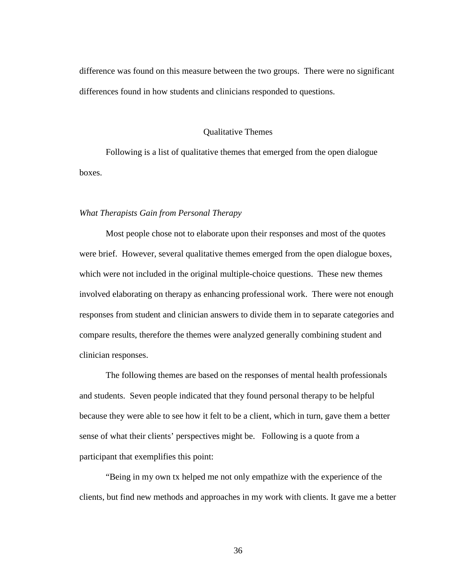difference was found on this measure between the two groups. There were no significant differences found in how students and clinicians responded to questions.

#### Qualitative Themes

Following is a list of qualitative themes that emerged from the open dialogue boxes.

#### *What Therapists Gain from Personal Therapy*

Most people chose not to elaborate upon their responses and most of the quotes were brief. However, several qualitative themes emerged from the open dialogue boxes, which were not included in the original multiple-choice questions. These new themes involved elaborating on therapy as enhancing professional work. There were not enough responses from student and clinician answers to divide them in to separate categories and compare results, therefore the themes were analyzed generally combining student and clinician responses.

The following themes are based on the responses of mental health professionals and students. Seven people indicated that they found personal therapy to be helpful because they were able to see how it felt to be a client, which in turn, gave them a better sense of what their clients' perspectives might be. Following is a quote from a participant that exemplifies this point:

"Being in my own tx helped me not only empathize with the experience of the clients, but find new methods and approaches in my work with clients. It gave me a better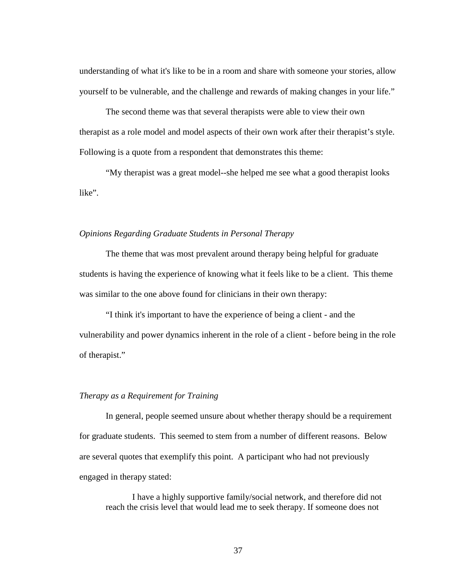understanding of what it's like to be in a room and share with someone your stories, allow yourself to be vulnerable, and the challenge and rewards of making changes in your life."

The second theme was that several therapists were able to view their own therapist as a role model and model aspects of their own work after their therapist's style. Following is a quote from a respondent that demonstrates this theme:

"My therapist was a great model--she helped me see what a good therapist looks like".

#### *Opinions Regarding Graduate Students in Personal Therapy*

The theme that was most prevalent around therapy being helpful for graduate students is having the experience of knowing what it feels like to be a client. This theme was similar to the one above found for clinicians in their own therapy:

"I think it's important to have the experience of being a client - and the vulnerability and power dynamics inherent in the role of a client - before being in the role of therapist."

### *Therapy as a Requirement for Training*

In general, people seemed unsure about whether therapy should be a requirement for graduate students. This seemed to stem from a number of different reasons. Below are several quotes that exemplify this point. A participant who had not previously engaged in therapy stated:

I have a highly supportive family/social network, and therefore did not reach the crisis level that would lead me to seek therapy. If someone does not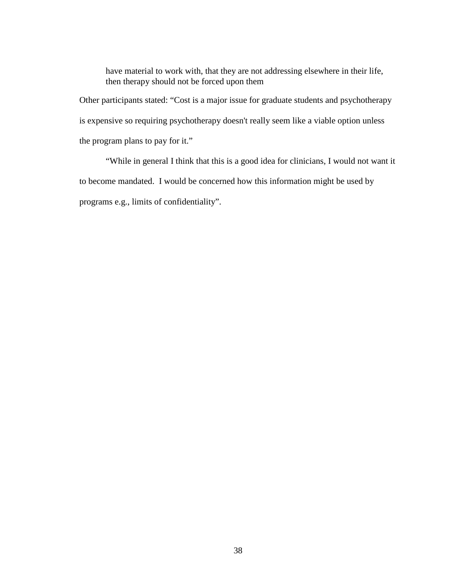have material to work with, that they are not addressing elsewhere in their life, then therapy should not be forced upon them

Other participants stated: "Cost is a major issue for graduate students and psychotherapy is expensive so requiring psychotherapy doesn't really seem like a viable option unless the program plans to pay for it."

"While in general I think that this is a good idea for clinicians, I would not want it to become mandated. I would be concerned how this information might be used by programs e.g., limits of confidentiality".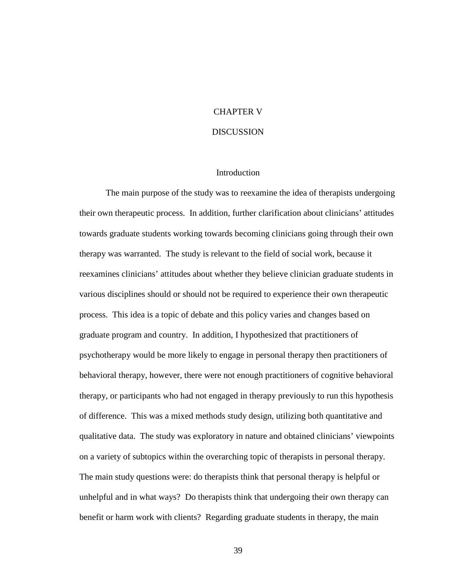### CHAPTER V

#### **DISCUSSION**

#### Introduction

The main purpose of the study was to reexamine the idea of therapists undergoing their own therapeutic process. In addition, further clarification about clinicians' attitudes towards graduate students working towards becoming clinicians going through their own therapy was warranted. The study is relevant to the field of social work, because it reexamines clinicians' attitudes about whether they believe clinician graduate students in various disciplines should or should not be required to experience their own therapeutic process. This idea is a topic of debate and this policy varies and changes based on graduate program and country. In addition, I hypothesized that practitioners of psychotherapy would be more likely to engage in personal therapy then practitioners of behavioral therapy, however, there were not enough practitioners of cognitive behavioral therapy, or participants who had not engaged in therapy previously to run this hypothesis of difference. This was a mixed methods study design, utilizing both quantitative and qualitative data. The study was exploratory in nature and obtained clinicians' viewpoints on a variety of subtopics within the overarching topic of therapists in personal therapy. The main study questions were: do therapists think that personal therapy is helpful or unhelpful and in what ways? Do therapists think that undergoing their own therapy can benefit or harm work with clients? Regarding graduate students in therapy, the main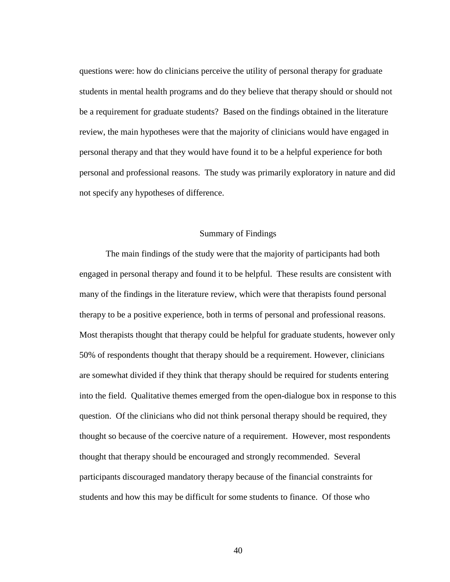questions were: how do clinicians perceive the utility of personal therapy for graduate students in mental health programs and do they believe that therapy should or should not be a requirement for graduate students? Based on the findings obtained in the literature review, the main hypotheses were that the majority of clinicians would have engaged in personal therapy and that they would have found it to be a helpful experience for both personal and professional reasons. The study was primarily exploratory in nature and did not specify any hypotheses of difference.

### Summary of Findings

The main findings of the study were that the majority of participants had both engaged in personal therapy and found it to be helpful. These results are consistent with many of the findings in the literature review, which were that therapists found personal therapy to be a positive experience, both in terms of personal and professional reasons. Most therapists thought that therapy could be helpful for graduate students, however only 50% of respondents thought that therapy should be a requirement. However, clinicians are somewhat divided if they think that therapy should be required for students entering into the field. Qualitative themes emerged from the open-dialogue box in response to this question. Of the clinicians who did not think personal therapy should be required, they thought so because of the coercive nature of a requirement. However, most respondents thought that therapy should be encouraged and strongly recommended. Several participants discouraged mandatory therapy because of the financial constraints for students and how this may be difficult for some students to finance. Of those who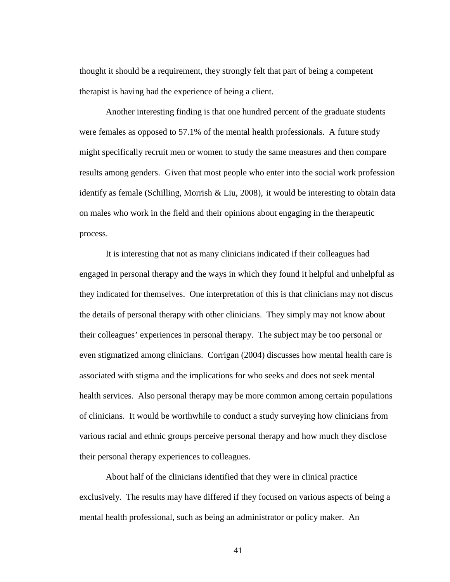thought it should be a requirement, they strongly felt that part of being a competent therapist is having had the experience of being a client.

Another interesting finding is that one hundred percent of the graduate students were females as opposed to 57.1% of the mental health professionals. A future study might specifically recruit men or women to study the same measures and then compare results among genders. Given that most people who enter into the social work profession identify as female (Schilling, Morrish & Liu, 2008), it would be interesting to obtain data on males who work in the field and their opinions about engaging in the therapeutic process.

It is interesting that not as many clinicians indicated if their colleagues had engaged in personal therapy and the ways in which they found it helpful and unhelpful as they indicated for themselves. One interpretation of this is that clinicians may not discus the details of personal therapy with other clinicians. They simply may not know about their colleagues' experiences in personal therapy. The subject may be too personal or even stigmatized among clinicians. Corrigan (2004) discusses how mental health care is associated with stigma and the implications for who seeks and does not seek mental health services. Also personal therapy may be more common among certain populations of clinicians. It would be worthwhile to conduct a study surveying how clinicians from various racial and ethnic groups perceive personal therapy and how much they disclose their personal therapy experiences to colleagues.

About half of the clinicians identified that they were in clinical practice exclusively. The results may have differed if they focused on various aspects of being a mental health professional, such as being an administrator or policy maker. An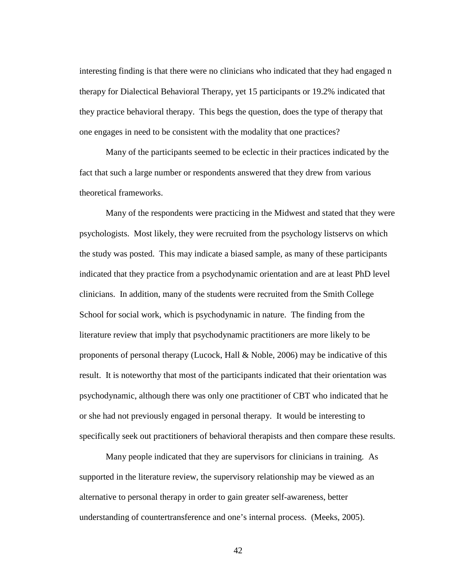interesting finding is that there were no clinicians who indicated that they had engaged n therapy for Dialectical Behavioral Therapy, yet 15 participants or 19.2% indicated that they practice behavioral therapy. This begs the question, does the type of therapy that one engages in need to be consistent with the modality that one practices?

Many of the participants seemed to be eclectic in their practices indicated by the fact that such a large number or respondents answered that they drew from various theoretical frameworks.

Many of the respondents were practicing in the Midwest and stated that they were psychologists. Most likely, they were recruited from the psychology listservs on which the study was posted. This may indicate a biased sample, as many of these participants indicated that they practice from a psychodynamic orientation and are at least PhD level clinicians. In addition, many of the students were recruited from the Smith College School for social work, which is psychodynamic in nature. The finding from the literature review that imply that psychodynamic practitioners are more likely to be proponents of personal therapy (Lucock, Hall & Noble, 2006) may be indicative of this result. It is noteworthy that most of the participants indicated that their orientation was psychodynamic, although there was only one practitioner of CBT who indicated that he or she had not previously engaged in personal therapy. It would be interesting to specifically seek out practitioners of behavioral therapists and then compare these results.

Many people indicated that they are supervisors for clinicians in training. As supported in the literature review, the supervisory relationship may be viewed as an alternative to personal therapy in order to gain greater self-awareness, better understanding of countertransference and one's internal process. (Meeks, 2005).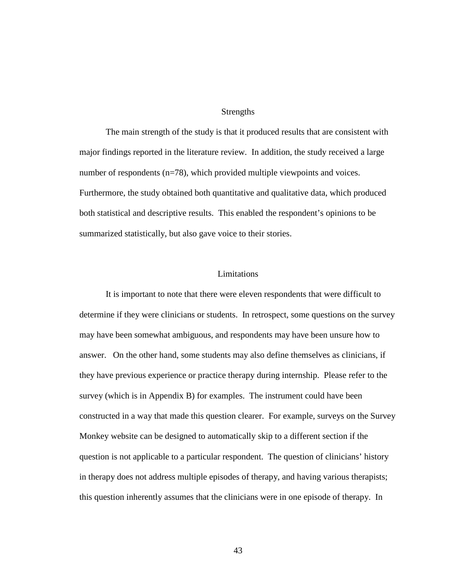#### Strengths

The main strength of the study is that it produced results that are consistent with major findings reported in the literature review. In addition, the study received a large number of respondents (n=78), which provided multiple viewpoints and voices. Furthermore, the study obtained both quantitative and qualitative data, which produced both statistical and descriptive results. This enabled the respondent's opinions to be summarized statistically, but also gave voice to their stories.

### Limitations

It is important to note that there were eleven respondents that were difficult to determine if they were clinicians or students. In retrospect, some questions on the survey may have been somewhat ambiguous, and respondents may have been unsure how to answer. On the other hand, some students may also define themselves as clinicians, if they have previous experience or practice therapy during internship. Please refer to the survey (which is in Appendix B) for examples. The instrument could have been constructed in a way that made this question clearer. For example, surveys on the Survey Monkey website can be designed to automatically skip to a different section if the question is not applicable to a particular respondent. The question of clinicians' history in therapy does not address multiple episodes of therapy, and having various therapists; this question inherently assumes that the clinicians were in one episode of therapy. In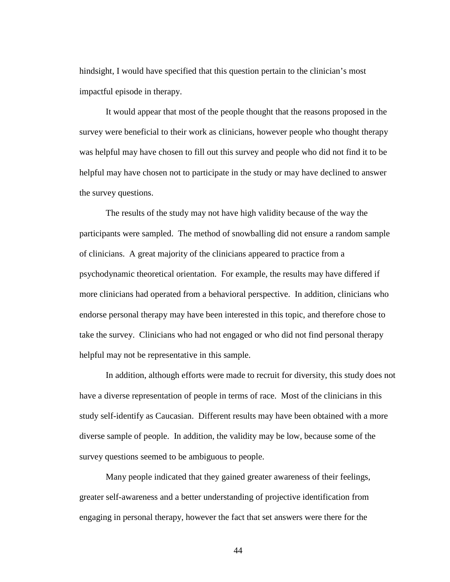hindsight, I would have specified that this question pertain to the clinician's most impactful episode in therapy.

It would appear that most of the people thought that the reasons proposed in the survey were beneficial to their work as clinicians, however people who thought therapy was helpful may have chosen to fill out this survey and people who did not find it to be helpful may have chosen not to participate in the study or may have declined to answer the survey questions.

The results of the study may not have high validity because of the way the participants were sampled. The method of snowballing did not ensure a random sample of clinicians. A great majority of the clinicians appeared to practice from a psychodynamic theoretical orientation. For example, the results may have differed if more clinicians had operated from a behavioral perspective. In addition, clinicians who endorse personal therapy may have been interested in this topic, and therefore chose to take the survey. Clinicians who had not engaged or who did not find personal therapy helpful may not be representative in this sample.

In addition, although efforts were made to recruit for diversity, this study does not have a diverse representation of people in terms of race. Most of the clinicians in this study self-identify as Caucasian. Different results may have been obtained with a more diverse sample of people. In addition, the validity may be low, because some of the survey questions seemed to be ambiguous to people.

Many people indicated that they gained greater awareness of their feelings, greater self-awareness and a better understanding of projective identification from engaging in personal therapy, however the fact that set answers were there for the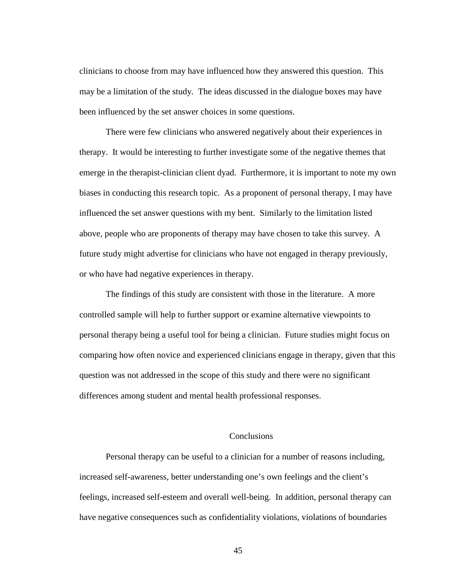clinicians to choose from may have influenced how they answered this question. This may be a limitation of the study. The ideas discussed in the dialogue boxes may have been influenced by the set answer choices in some questions.

There were few clinicians who answered negatively about their experiences in therapy. It would be interesting to further investigate some of the negative themes that emerge in the therapist-clinician client dyad. Furthermore, it is important to note my own biases in conducting this research topic. As a proponent of personal therapy, I may have influenced the set answer questions with my bent. Similarly to the limitation listed above, people who are proponents of therapy may have chosen to take this survey. A future study might advertise for clinicians who have not engaged in therapy previously, or who have had negative experiences in therapy.

The findings of this study are consistent with those in the literature. A more controlled sample will help to further support or examine alternative viewpoints to personal therapy being a useful tool for being a clinician. Future studies might focus on comparing how often novice and experienced clinicians engage in therapy, given that this question was not addressed in the scope of this study and there were no significant differences among student and mental health professional responses.

### **Conclusions**

Personal therapy can be useful to a clinician for a number of reasons including, increased self-awareness, better understanding one's own feelings and the client's feelings, increased self-esteem and overall well-being. In addition, personal therapy can have negative consequences such as confidentiality violations, violations of boundaries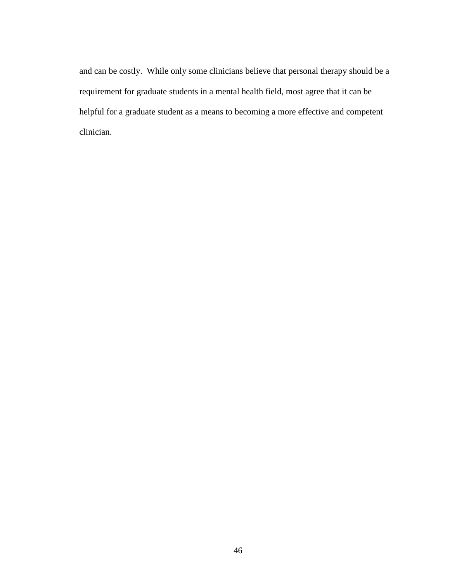and can be costly. While only some clinicians believe that personal therapy should be a requirement for graduate students in a mental health field, most agree that it can be helpful for a graduate student as a means to becoming a more effective and competent clinician.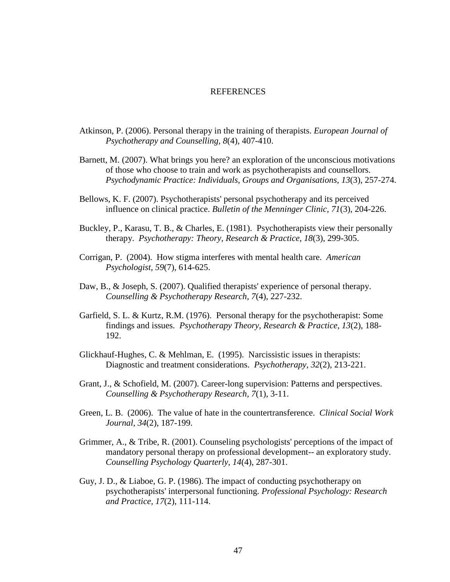#### **REFERENCES**

- Atkinson, P. (2006). Personal therapy in the training of therapists. *European Journal of Psychotherapy and Counselling, 8*(4), 407-410.
- Barnett, M. (2007). What brings you here? an exploration of the unconscious motivations of those who choose to train and work as psychotherapists and counsellors. *Psychodynamic Practice: Individuals, Groups and Organisations, 13*(3), 257-274.
- Bellows, K. F. (2007). Psychotherapists' personal psychotherapy and its perceived influence on clinical practice. *Bulletin of the Menninger Clinic, 71*(3), 204-226.
- Buckley, P., Karasu, T. B., & Charles, E. (1981). Psychotherapists view their personally therapy. *Psychotherapy: Theory, Research & Practice, 18*(3), 299-305.
- Corrigan, P. (2004). How stigma interferes with mental health care. *American Psychologist, 59*(7), 614-625.
- Daw, B., & Joseph, S. (2007). Qualified therapists' experience of personal therapy. *Counselling & Psychotherapy Research, 7*(4), 227-232.
- Garfield, S. L. & Kurtz, R.M. (1976). Personal therapy for the psychotherapist: Some findings and issues. *Psychotherapy Theory, Research & Practice, 13*(2), 188- 192.
- Glickhauf-Hughes, C. & Mehlman, E. (1995). Narcissistic issues in therapists: Diagnostic and treatment considerations. *Psychotherapy, 32*(2), 213-221.
- Grant, J., & Schofield, M. (2007). Career-long supervision: Patterns and perspectives. *Counselling & Psychotherapy Research, 7*(1), 3-11.
- Green, L. B. (2006). The value of hate in the countertransference. *Clinical Social Work Journal*, *34*(2), 187-199.
- Grimmer, A., & Tribe, R. (2001). Counseling psychologists' perceptions of the impact of mandatory personal therapy on professional development-- an exploratory study. *Counselling Psychology Quarterly, 14*(4), 287-301.
- Guy, J. D., & Liaboe, G. P. (1986). The impact of conducting psychotherapy on psychotherapists' interpersonal functioning. *Professional Psychology: Research and Practice, 17*(2), 111-114.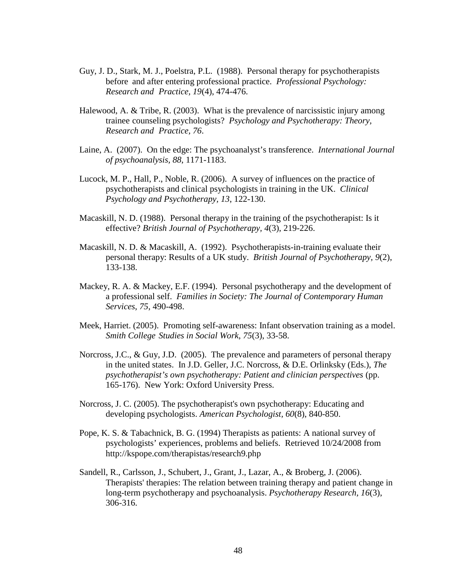- Guy, J. D., Stark, M. J., Poelstra, P.L. (1988). Personal therapy for psychotherapists before and after entering professional practice. *Professional Psychology: Research and Practice, 19*(4), 474-476.
- Halewood, A. & Tribe, R. (2003). What is the prevalence of narcissistic injury among trainee counseling psychologists? *Psychology and Psychotherapy: Theory, Research and Practice, 76*.
- Laine, A. (2007). On the edge: The psychoanalyst's transference. *International Journal of psychoanalysis, 88*, 1171-1183.
- Lucock, M. P., Hall, P., Noble, R. (2006). A survey of influences on the practice of psychotherapists and clinical psychologists in training in the UK. *Clinical Psychology and Psychotherapy, 13*, 122-130.
- Macaskill, N. D. (1988). Personal therapy in the training of the psychotherapist: Is it effective? *British Journal of Psychotherapy, 4*(3), 219-226.
- Macaskill, N. D. & Macaskill, A. (1992). Psychotherapists-in-training evaluate their personal therapy: Results of a UK study. *British Journal of Psychotherapy, 9*(2), 133-138.
- Mackey, R. A. & Mackey, E.F. (1994). Personal psychotherapy and the development of a professional self. *Families in Society: The Journal of Contemporary Human Services*, *75*, 490-498.
- Meek, Harriet. (2005). Promoting self-awareness: Infant observation training as a model. *Smith College Studies in Social Work*, *75*(3), 33-58.
- Norcross, J.C., & Guy, J.D. (2005). The prevalence and parameters of personal therapy in the united states. In J.D. Geller, J.C. Norcross, & D.E. Orlinksky (Eds.), *The psychotherapist's own psychotherapy: Patient and clinician perspectives* (pp. 165-176). New York: Oxford University Press.
- Norcross, J. C. (2005). The psychotherapist's own psychotherapy: Educating and developing psychologists. *American Psychologist, 60*(8), 840-850.
- Pope, K. S. & Tabachnick, B. G. (1994) Therapists as patients: A national survey of psychologists' experiences, problems and beliefs. Retrieved 10/24/2008 from http://kspope.com/therapistas/research9.php
- Sandell, R., Carlsson, J., Schubert, J., Grant, J., Lazar, A., & Broberg, J. (2006). Therapists' therapies: The relation between training therapy and patient change in long-term psychotherapy and psychoanalysis. *Psychotherapy Research, 16*(3), 306-316.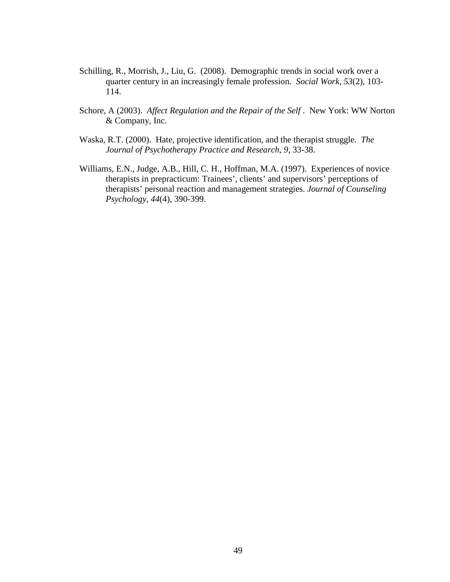- Schilling, R., Morrish, J., Liu, G. (2008). Demographic trends in social work over a quarter century in an increasingly female profession. *Social Work, 53*(2), 103- 114.
- Schore, A (2003). *Affect Regulation and the Repair of the Self* . New York: WW Norton & Company, Inc.
- Waska, R.T. (2000). Hate, projective identification, and the therapist struggle. *The Journal of Psychotherapy Practice and Research, 9*, 33-38.
- Williams, E.N., Judge, A.B., Hill, C. H., Hoffman, M.A. (1997). Experiences of novice therapists in prepracticum: Trainees', clients' and supervisors' perceptions of therapists' personal reaction and management strategies. *Journal of Counseling Psychology, 44*(4), 390-399.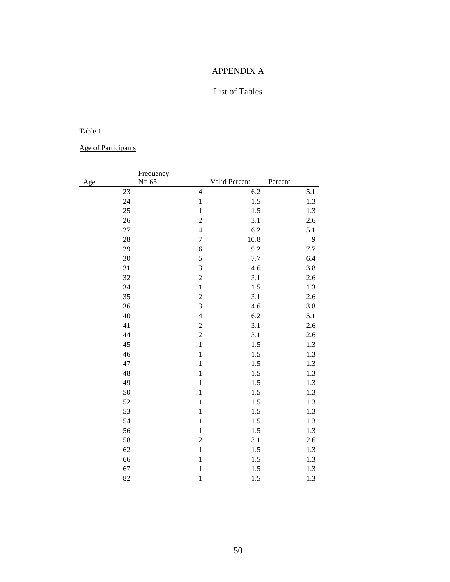# APPENDIX A

# List of Tables

### Table 1

Age of Participants

|           | Frequency<br>$N=65$              |               |                |
|-----------|----------------------------------|---------------|----------------|
| Age<br>23 | $\overline{4}$                   | Valid Percent | Percent<br>5.1 |
|           |                                  | 6.2           |                |
| 24        | $\,1\,$                          | $1.5$         | 1.3            |
| 25        | $\,1\,$                          | 1.5           | 1.3            |
| 26        | $\overline{c}$<br>$\overline{4}$ | 3.1           | 2.6            |
| 27        |                                  | 6.2           | 5.1            |
| 28        | $\boldsymbol{7}$                 | 10.8          | 9              |
| 29        | 6                                | 9.2           | 7.7            |
| 30        | 5                                | 7.7           | 6.4            |
| 31        | 3                                | 4.6           | 3.8            |
| 32        | $\overline{c}$                   | 3.1           | 2.6            |
| 34        | $\,1\,$                          | 1.5           | 1.3            |
| 35        | $\overline{c}$                   | 3.1           | 2.6            |
| 36        | 3                                | 4.6           | 3.8            |
| 40        | $\overline{4}$                   | 6.2           | 5.1            |
| 41        | $\overline{c}$                   | 3.1           | 2.6            |
| 44        | $\overline{c}$                   | 3.1           | $2.6$          |
| 45        | $\,1\,$                          | 1.5           | 1.3            |
| 46        | $\,1\,$                          | 1.5           | 1.3            |
| 47        | $\mathbf{1}$                     | 1.5           | 1.3            |
| 48        | $\mathbf{1}$                     | 1.5           | 1.3            |
| 49        | $\,1\,$                          | $1.5$         | 1.3            |
| 50        | $\,1\,$                          | 1.5           | 1.3            |
| 52        | $\,1\,$                          | 1.5           | 1.3            |
| 53        | $\,1\,$                          | $1.5$         | 1.3            |
| 54        | $\mathbbm{1}$                    | 1.5           | 1.3            |
| 56        | $\,1\,$                          | 1.5           | 1.3            |
| 58        | $\overline{c}$                   | 3.1           | 2.6            |
| 62        | $\mathbf{1}$                     | 1.5           | 1.3            |
| 66        | $\,1\,$                          | $1.5$         | 1.3            |
| 67        | $\mathbf{1}$                     | 1.5           | 1.3            |
| 82        | $\mathbf 1$                      | 1.5           | 1.3            |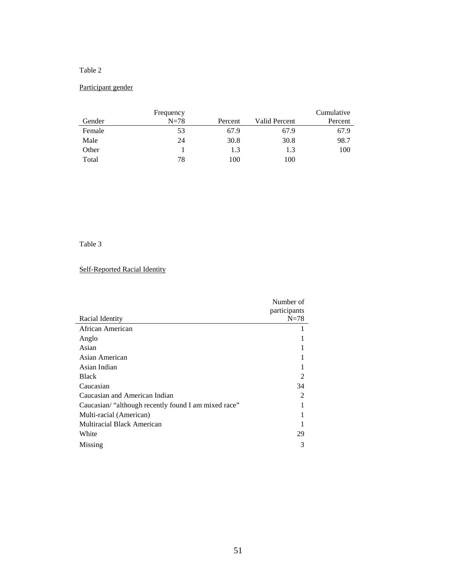# Participant gender

|        | Frequency |         |               | Cumulative |
|--------|-----------|---------|---------------|------------|
| Gender | $N=78$    | Percent | Valid Percent | Percent    |
| Female | 53        | 67.9    | 67.9          | 67.9       |
| Male   | 24        | 30.8    | 30.8          | 98.7       |
| Other  |           | 1.3     | 1.3           | 100        |
| Total  | 78        | 100     | 100           |            |

### Table 3

# Self-Reported Racial Identity

|                                                      | Number of      |
|------------------------------------------------------|----------------|
|                                                      | participants   |
| Racial Identity                                      | $N=78$         |
| African American                                     |                |
| Anglo                                                |                |
| Asian                                                |                |
| Asian American                                       |                |
| Asian Indian                                         |                |
| <b>Black</b>                                         |                |
| Caucasian                                            | 34             |
| Caucasian and American Indian                        | $\overline{2}$ |
| Caucasian/ "although recently found I am mixed race" |                |
| Multi-racial (American)                              |                |
| Multiracial Black American                           |                |
| White                                                | 29             |
| Missing                                              | 3              |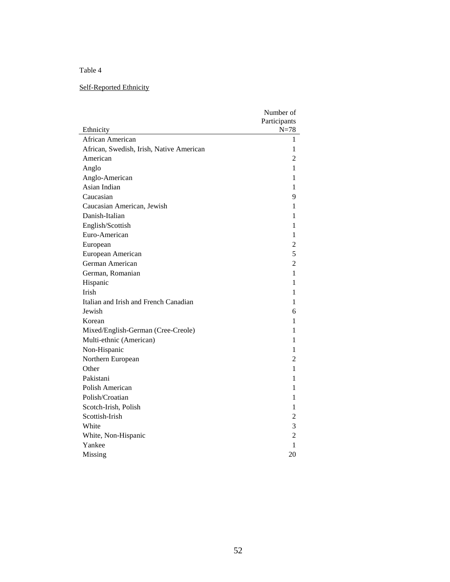# Self-Reported Ethnicity

| Participants<br>Ethnicity<br>$N = 78$<br>African American<br>1<br>African, Swedish, Irish, Native American<br>1<br>American<br>2<br>Anglo<br>1<br>Anglo-American<br>1<br>Asian Indian<br>1<br>Caucasian<br>9<br>Caucasian American, Jewish<br>1<br>Danish-Italian<br>1<br>English/Scottish<br>1<br>Euro-American<br>1<br>$\overline{c}$<br>European<br>5<br>European American<br>German American<br>$\overline{c}$<br>German, Romanian<br>1<br>1<br>Hispanic<br>Irish<br>1<br>Italian and Irish and French Canadian<br>1<br>Jewish<br>6<br>Korean<br>1<br>Mixed/English-German (Cree-Creole)<br>1<br>Multi-ethnic (American)<br>1<br>Non-Hispanic<br>1<br>$\overline{c}$<br>Northern European<br>Other<br>1<br>Pakistani<br>1<br>Polish American<br>1<br>Polish/Croatian<br>1<br>Scotch-Irish, Polish<br>1<br>Scottish-Irish<br>$\overline{c}$<br>3<br>White<br>$\overline{c}$<br>White, Non-Hispanic<br>1<br>Yankee | Number of |
|----------------------------------------------------------------------------------------------------------------------------------------------------------------------------------------------------------------------------------------------------------------------------------------------------------------------------------------------------------------------------------------------------------------------------------------------------------------------------------------------------------------------------------------------------------------------------------------------------------------------------------------------------------------------------------------------------------------------------------------------------------------------------------------------------------------------------------------------------------------------------------------------------------------------|-----------|
|                                                                                                                                                                                                                                                                                                                                                                                                                                                                                                                                                                                                                                                                                                                                                                                                                                                                                                                      |           |
|                                                                                                                                                                                                                                                                                                                                                                                                                                                                                                                                                                                                                                                                                                                                                                                                                                                                                                                      |           |
|                                                                                                                                                                                                                                                                                                                                                                                                                                                                                                                                                                                                                                                                                                                                                                                                                                                                                                                      |           |
|                                                                                                                                                                                                                                                                                                                                                                                                                                                                                                                                                                                                                                                                                                                                                                                                                                                                                                                      |           |
|                                                                                                                                                                                                                                                                                                                                                                                                                                                                                                                                                                                                                                                                                                                                                                                                                                                                                                                      |           |
|                                                                                                                                                                                                                                                                                                                                                                                                                                                                                                                                                                                                                                                                                                                                                                                                                                                                                                                      |           |
|                                                                                                                                                                                                                                                                                                                                                                                                                                                                                                                                                                                                                                                                                                                                                                                                                                                                                                                      |           |
|                                                                                                                                                                                                                                                                                                                                                                                                                                                                                                                                                                                                                                                                                                                                                                                                                                                                                                                      |           |
|                                                                                                                                                                                                                                                                                                                                                                                                                                                                                                                                                                                                                                                                                                                                                                                                                                                                                                                      |           |
|                                                                                                                                                                                                                                                                                                                                                                                                                                                                                                                                                                                                                                                                                                                                                                                                                                                                                                                      |           |
|                                                                                                                                                                                                                                                                                                                                                                                                                                                                                                                                                                                                                                                                                                                                                                                                                                                                                                                      |           |
|                                                                                                                                                                                                                                                                                                                                                                                                                                                                                                                                                                                                                                                                                                                                                                                                                                                                                                                      |           |
|                                                                                                                                                                                                                                                                                                                                                                                                                                                                                                                                                                                                                                                                                                                                                                                                                                                                                                                      |           |
|                                                                                                                                                                                                                                                                                                                                                                                                                                                                                                                                                                                                                                                                                                                                                                                                                                                                                                                      |           |
|                                                                                                                                                                                                                                                                                                                                                                                                                                                                                                                                                                                                                                                                                                                                                                                                                                                                                                                      |           |
|                                                                                                                                                                                                                                                                                                                                                                                                                                                                                                                                                                                                                                                                                                                                                                                                                                                                                                                      |           |
|                                                                                                                                                                                                                                                                                                                                                                                                                                                                                                                                                                                                                                                                                                                                                                                                                                                                                                                      |           |
|                                                                                                                                                                                                                                                                                                                                                                                                                                                                                                                                                                                                                                                                                                                                                                                                                                                                                                                      |           |
|                                                                                                                                                                                                                                                                                                                                                                                                                                                                                                                                                                                                                                                                                                                                                                                                                                                                                                                      |           |
|                                                                                                                                                                                                                                                                                                                                                                                                                                                                                                                                                                                                                                                                                                                                                                                                                                                                                                                      |           |
|                                                                                                                                                                                                                                                                                                                                                                                                                                                                                                                                                                                                                                                                                                                                                                                                                                                                                                                      |           |
|                                                                                                                                                                                                                                                                                                                                                                                                                                                                                                                                                                                                                                                                                                                                                                                                                                                                                                                      |           |
|                                                                                                                                                                                                                                                                                                                                                                                                                                                                                                                                                                                                                                                                                                                                                                                                                                                                                                                      |           |
|                                                                                                                                                                                                                                                                                                                                                                                                                                                                                                                                                                                                                                                                                                                                                                                                                                                                                                                      |           |
|                                                                                                                                                                                                                                                                                                                                                                                                                                                                                                                                                                                                                                                                                                                                                                                                                                                                                                                      |           |
|                                                                                                                                                                                                                                                                                                                                                                                                                                                                                                                                                                                                                                                                                                                                                                                                                                                                                                                      |           |
|                                                                                                                                                                                                                                                                                                                                                                                                                                                                                                                                                                                                                                                                                                                                                                                                                                                                                                                      |           |
|                                                                                                                                                                                                                                                                                                                                                                                                                                                                                                                                                                                                                                                                                                                                                                                                                                                                                                                      |           |
|                                                                                                                                                                                                                                                                                                                                                                                                                                                                                                                                                                                                                                                                                                                                                                                                                                                                                                                      |           |
|                                                                                                                                                                                                                                                                                                                                                                                                                                                                                                                                                                                                                                                                                                                                                                                                                                                                                                                      |           |
|                                                                                                                                                                                                                                                                                                                                                                                                                                                                                                                                                                                                                                                                                                                                                                                                                                                                                                                      |           |
|                                                                                                                                                                                                                                                                                                                                                                                                                                                                                                                                                                                                                                                                                                                                                                                                                                                                                                                      |           |
|                                                                                                                                                                                                                                                                                                                                                                                                                                                                                                                                                                                                                                                                                                                                                                                                                                                                                                                      |           |
|                                                                                                                                                                                                                                                                                                                                                                                                                                                                                                                                                                                                                                                                                                                                                                                                                                                                                                                      |           |
|                                                                                                                                                                                                                                                                                                                                                                                                                                                                                                                                                                                                                                                                                                                                                                                                                                                                                                                      |           |
| 20<br>Missing                                                                                                                                                                                                                                                                                                                                                                                                                                                                                                                                                                                                                                                                                                                                                                                                                                                                                                        |           |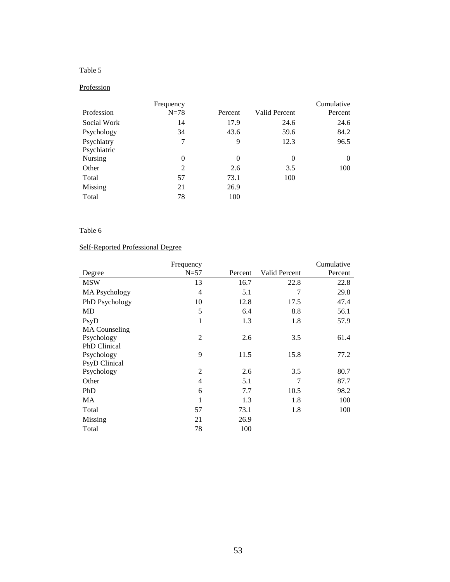### **Profession**

|             | Frequency      |          |               | Cumulative |
|-------------|----------------|----------|---------------|------------|
| Profession  | $N=78$         | Percent  | Valid Percent | Percent    |
| Social Work | 14             | 17.9     | 24.6          | 24.6       |
| Psychology  | 34             | 43.6     | 59.6          | 84.2       |
| Psychiatry  | 7              | 9        | 12.3          | 96.5       |
| Psychiatric |                |          |               |            |
| Nursing     | $\overline{0}$ | $\theta$ | $\theta$      | 0          |
| Other       | 2              | 2.6      | 3.5           | 100        |
| Total       | 57             | 73.1     | 100           |            |
| Missing     | 21             | 26.9     |               |            |
| Total       | 78             | 100      |               |            |

### Table 6

### Self-Reported Professional Degree

|                      | Frequency      |         |               | Cumulative |
|----------------------|----------------|---------|---------------|------------|
| Degree               | $N=57$         | Percent | Valid Percent | Percent    |
| <b>MSW</b>           | 13             | 16.7    | 22.8          | 22.8       |
| MA Psychology        | 4              | 5.1     | 7             | 29.8       |
| PhD Psychology       | 10             | 12.8    | 17.5          | 47.4       |
| MD                   | 5              | 6.4     | 8.8           | 56.1       |
| PsyD                 | 1              | 1.3     | 1.8           | 57.9       |
| <b>MA</b> Counseling |                |         |               |            |
| Psychology           | $\overline{2}$ | 2.6     | 3.5           | 61.4       |
| PhD Clinical         |                |         |               |            |
| Psychology           | 9              | 11.5    | 15.8          | 77.2       |
| <b>PsyD</b> Clinical |                |         |               |            |
| Psychology           | $\overline{2}$ | 2.6     | 3.5           | 80.7       |
| Other                | 4              | 5.1     | 7             | 87.7       |
| PhD                  | 6              | 7.7     | 10.5          | 98.2       |
| MA                   | 1              | 1.3     | 1.8           | 100        |
| Total                | 57             | 73.1    | 1.8           | 100        |
| Missing              | 21             | 26.9    |               |            |
| Total                | 78             | 100     |               |            |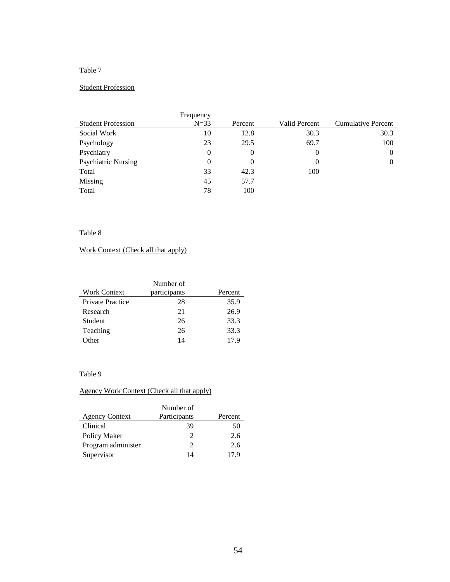### Student Profession

|                            | Frequency |          |               |                    |
|----------------------------|-----------|----------|---------------|--------------------|
| <b>Student Profession</b>  | $N=33$    | Percent  | Valid Percent | Cumulative Percent |
| Social Work                | 10        | 12.8     | 30.3          | 30.3               |
| Psychology                 | 23        | 29.5     | 69.7          | 100                |
| Psychiatry                 | 0         | 0        | 0             |                    |
| <b>Psychiatric Nursing</b> | 0         | $\theta$ | 0             | 0                  |
| Total                      | 33        | 42.3     | 100           |                    |
| Missing                    | 45        | 57.7     |               |                    |
| Total                      | 78        | 100      |               |                    |

### Table 8

# Work Context (Check all that apply)

| Number of               |              |         |  |  |
|-------------------------|--------------|---------|--|--|
| <b>Work Context</b>     | participants | Percent |  |  |
| <b>Private Practice</b> | 28           | 35.9    |  |  |
| Research                | 21           | 26.9    |  |  |
| Student                 | 26           | 33.3    |  |  |
| Teaching                | 26           | 33.3    |  |  |
| Other                   | 14           | 17.9    |  |  |

### Table 9

# Agency Work Context (Check all that apply)

|                       | Number of    |         |
|-----------------------|--------------|---------|
| <b>Agency Context</b> | Participants | Percent |
| Clinical              | 39           | 50      |
| Policy Maker          | C            | 2.6     |
| Program administer    | 2            | 2.6     |
| Supervisor            | 14           | 179     |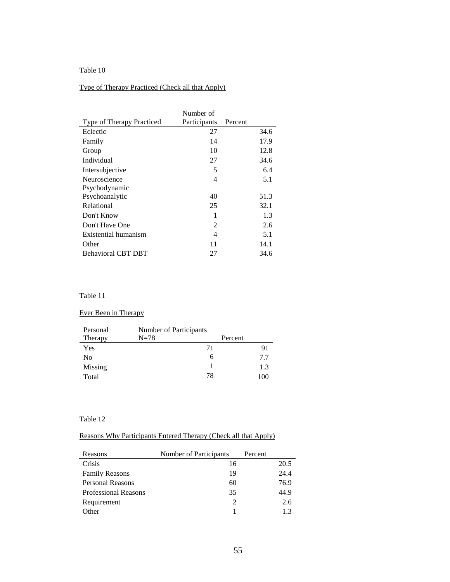# Type of Therapy Practiced (Check all that Apply)

|                           | Number of    |         |      |
|---------------------------|--------------|---------|------|
| Type of Therapy Practiced | Participants | Percent |      |
| Eclectic                  | 27           |         | 34.6 |
| Family                    | 14           |         | 17.9 |
| Group                     | 10           |         | 12.8 |
| Individual                | 27           |         | 34.6 |
| Intersubjective           | 5            |         | 6.4  |
| Neuroscience              | 4            |         | 5.1  |
| Psychodynamic             |              |         |      |
| Psychoanalytic            | 40           |         | 51.3 |
| Relational                | 25           |         | 32.1 |
| Don't Know                | 1            |         | 1.3  |
| Don't Have One            | 2            |         | 2.6  |
| Existential humanism      | 4            |         | 5.1  |
| Other                     | 11           |         | 14.1 |
| <b>Behavioral CBT DBT</b> | 27           |         | 34.6 |

### Table 11

### Ever Been in Therapy

| Personal | Number of Participants |         |     |
|----------|------------------------|---------|-----|
| Therapy  | $N=78$                 | Percent |     |
| Yes      |                        | 71      | 91  |
| No       |                        | h       | 7.7 |
| Missing  |                        |         | 1.3 |
| Total    |                        | 78      | 100 |

#### Table 12

### Reasons Why Participants Entered Therapy (Check all that Apply)

| Reasons                     | Number of Participants | Percent |      |
|-----------------------------|------------------------|---------|------|
| Crisis                      | 16                     |         | 20.5 |
| <b>Family Reasons</b>       | 19                     |         | 24.4 |
| Personal Reasons            | 60                     |         | 76.9 |
| <b>Professional Reasons</b> | 35                     |         | 44.9 |
| Requirement                 |                        |         | 2.6  |
| Other                       |                        |         | 13   |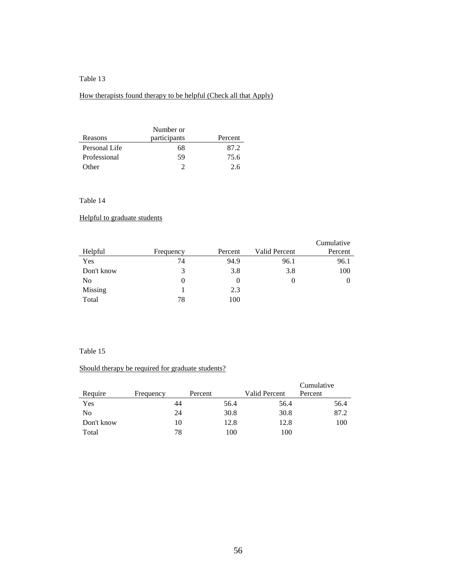### How therapists found therapy to be helpful (Check all that Apply)

|               | Number or    |         |
|---------------|--------------|---------|
| Reasons       | participants | Percent |
| Personal Life | 68           | 87.2    |
| Professional  | 59           | 75.6    |
| Other         |              | 26      |

### Table 14

### Helpful to graduate students

| Helpful    | Frequency | Percent  | <b>Valid Percent</b> | Cumulative<br>Percent |
|------------|-----------|----------|----------------------|-----------------------|
| Yes        | 74        | 94.9     | 96.1                 | 96.1                  |
| Don't know | 3         | 3.8      | 3.8                  | 100                   |
| No         |           | $\theta$ | $\theta$             | 0                     |
| Missing    |           | 2.3      |                      |                       |
| Total      | 78        | 100      |                      |                       |

#### Table 15

### Should therapy be required for graduate students?

| Require    | Frequency | Percent | Valid Percent | Cumulative<br>Percent |
|------------|-----------|---------|---------------|-----------------------|
| Yes        | 44        | 56.4    | 56.4          | 56.4                  |
| No         | 24        | 30.8    | 30.8          | 87.2                  |
| Don't know | 10        | 12.8    | 12.8          | 100                   |
| Total      | 78        | 100     | 100           |                       |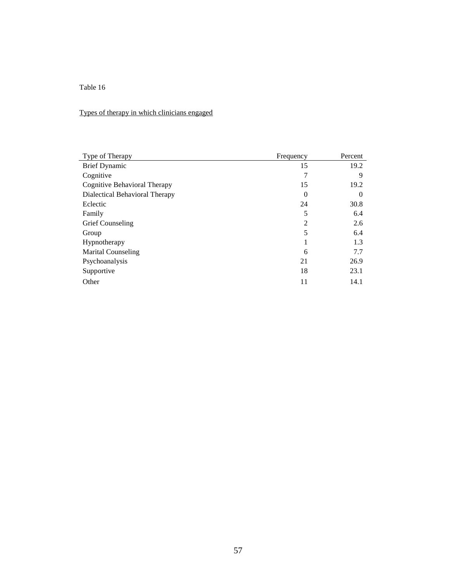# Types of therapy in which clinicians engaged

| Type of Therapy                | Frequency      | Percent  |
|--------------------------------|----------------|----------|
| <b>Brief Dynamic</b>           | 15             | 19.2     |
| Cognitive                      | 7              | 9        |
| Cognitive Behavioral Therapy   | 15             | 19.2     |
| Dialectical Behavioral Therapy | $\theta$       | $\theta$ |
| Eclectic                       | 24             | 30.8     |
| Family                         | 5              | 6.4      |
| Grief Counseling               | $\overline{2}$ | 2.6      |
| Group                          | 5              | 6.4      |
| Hypnotherapy                   | 1              | 1.3      |
| <b>Marital Counseling</b>      | 6              | 7.7      |
| Psychoanalysis                 | 21             | 26.9     |
| Supportive                     | 18             | 23.1     |
| Other                          | 11             | 14.1     |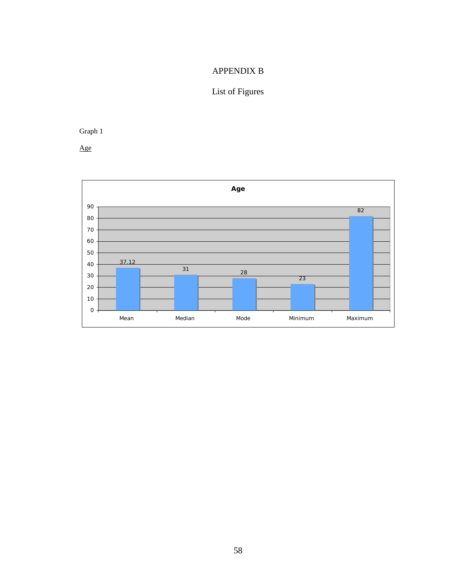# APPENDIX B

# List of Figures

Graph 1

Age

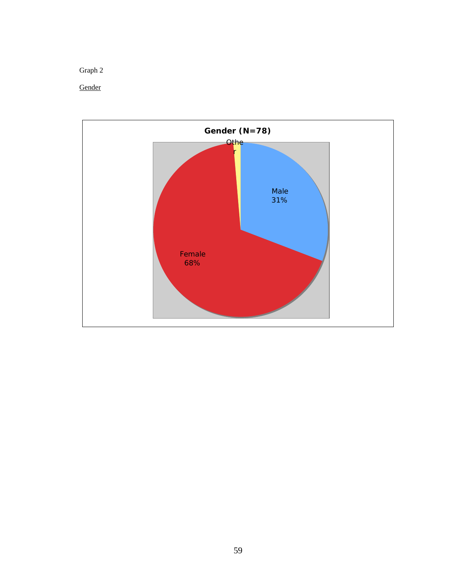**Gender** 

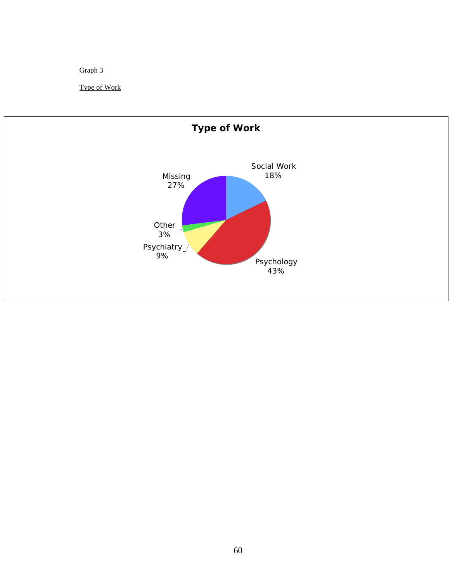Graph 3

Type of Work

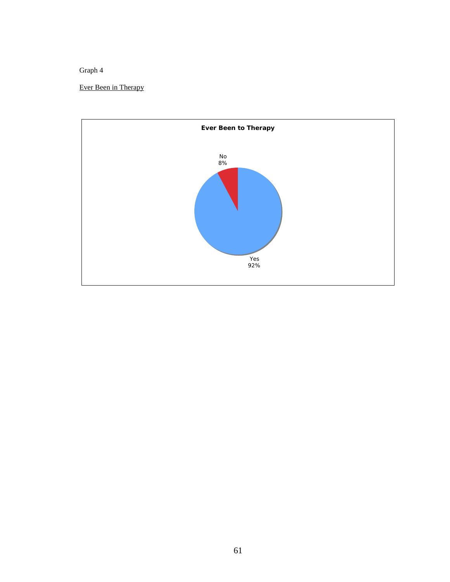Ever Been in Therapy

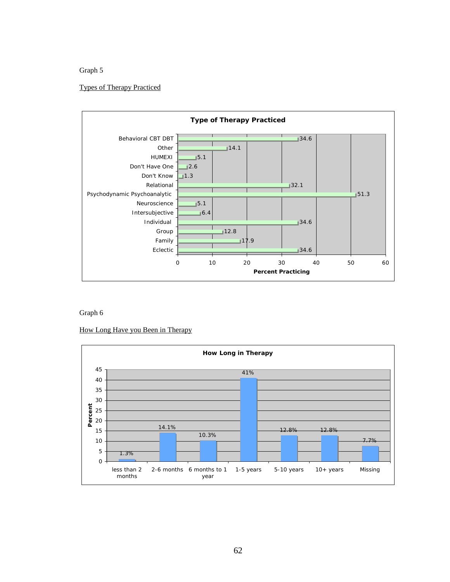#### Types of Therapy Practiced



Graph 6

How Long Have you Been in Therapy

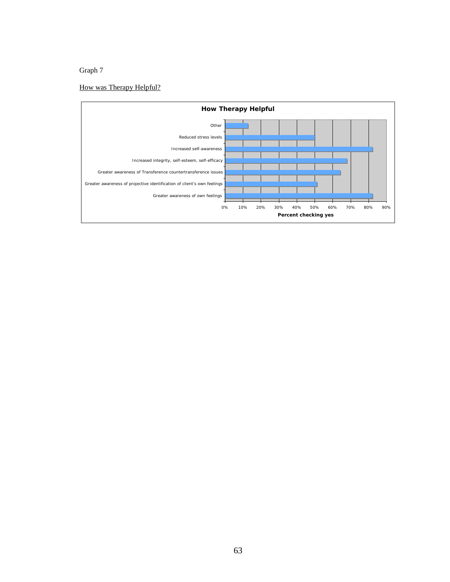# How was Therapy Helpful?

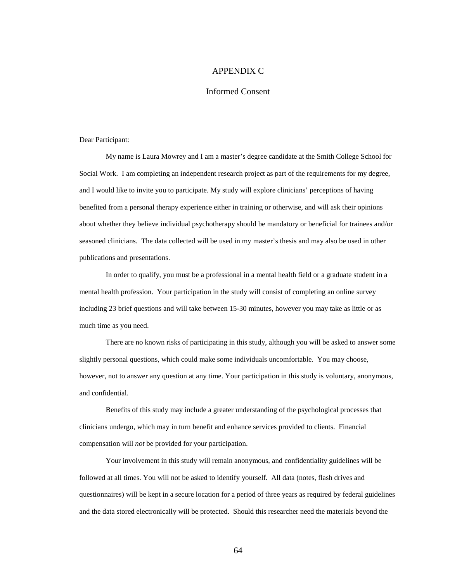### APPENDIX C

#### Informed Consent

Dear Participant:

My name is Laura Mowrey and I am a master's degree candidate at the Smith College School for Social Work. I am completing an independent research project as part of the requirements for my degree, and I would like to invite you to participate. My study will explore clinicians' perceptions of having benefited from a personal therapy experience either in training or otherwise, and will ask their opinions about whether they believe individual psychotherapy should be mandatory or beneficial for trainees and/or seasoned clinicians. The data collected will be used in my master's thesis and may also be used in other publications and presentations.

In order to qualify, you must be a professional in a mental health field or a graduate student in a mental health profession. Your participation in the study will consist of completing an online survey including 23 brief questions and will take between 15-30 minutes, however you may take as little or as much time as you need.

There are no known risks of participating in this study, although you will be asked to answer some slightly personal questions, which could make some individuals uncomfortable. You may choose, however, not to answer any question at any time. Your participation in this study is voluntary, anonymous, and confidential.

Benefits of this study may include a greater understanding of the psychological processes that clinicians undergo, which may in turn benefit and enhance services provided to clients. Financial compensation will *not* be provided for your participation.

Your involvement in this study will remain anonymous, and confidentiality guidelines will be followed at all times. You will not be asked to identify yourself. All data (notes, flash drives and questionnaires) will be kept in a secure location for a period of three years as required by federal guidelines and the data stored electronically will be protected. Should this researcher need the materials beyond the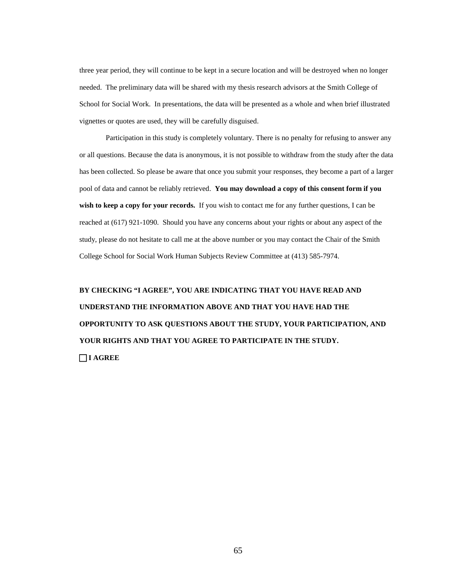three year period, they will continue to be kept in a secure location and will be destroyed when no longer needed. The preliminary data will be shared with my thesis research advisors at the Smith College of School for Social Work. In presentations, the data will be presented as a whole and when brief illustrated vignettes or quotes are used, they will be carefully disguised.

Participation in this study is completely voluntary. There is no penalty for refusing to answer any or all questions. Because the data is anonymous, it is not possible to withdraw from the study after the data has been collected. So please be aware that once you submit your responses, they become a part of a larger pool of data and cannot be reliably retrieved. **You may download a copy of this consent form if you wish to keep a copy for your records.** If you wish to contact me for any further questions, I can be reached at (617) 921-1090. Should you have any concerns about your rights or about any aspect of the study, please do not hesitate to call me at the above number or you may contact the Chair of the Smith College School for Social Work Human Subjects Review Committee at (413) 585-7974.

**BY CHECKING "I AGREE", YOU ARE INDICATING THAT YOU HAVE READ AND UNDERSTAND THE INFORMATION ABOVE AND THAT YOU HAVE HAD THE OPPORTUNITY TO ASK QUESTIONS ABOUT THE STUDY, YOUR PARTICIPATION, AND YOUR RIGHTS AND THAT YOU AGREE TO PARTICIPATE IN THE STUDY. I AGREE**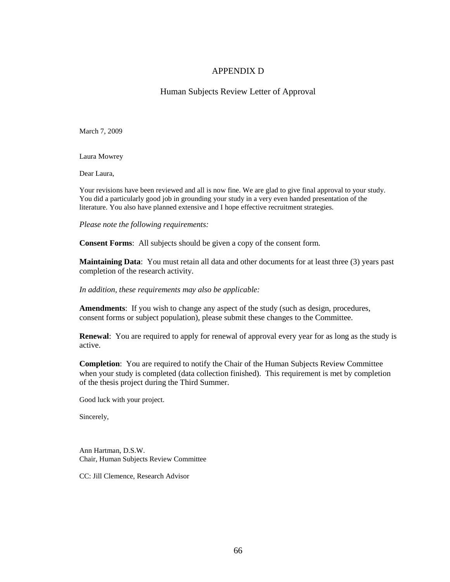### APPENDIX D

Human Subjects Review Letter of Approval

March 7, 2009

Laura Mowrey

Dear Laura,

Your revisions have been reviewed and all is now fine. We are glad to give final approval to your study. You did a particularly good job in grounding your study in a very even handed presentation of the literature. You also have planned extensive and I hope effective recruitment strategies.

*Please note the following requirements:*

**Consent Forms**: All subjects should be given a copy of the consent form.

**Maintaining Data**: You must retain all data and other documents for at least three (3) years past completion of the research activity.

*In addition, these requirements may also be applicable:*

**Amendments**: If you wish to change any aspect of the study (such as design, procedures, consent forms or subject population), please submit these changes to the Committee.

**Renewal**: You are required to apply for renewal of approval every year for as long as the study is active.

**Completion**: You are required to notify the Chair of the Human Subjects Review Committee when your study is completed (data collection finished). This requirement is met by completion of the thesis project during the Third Summer.

Good luck with your project.

Sincerely,

Ann Hartman, D.S.W. Chair, Human Subjects Review Committee

CC: Jill Clemence, Research Advisor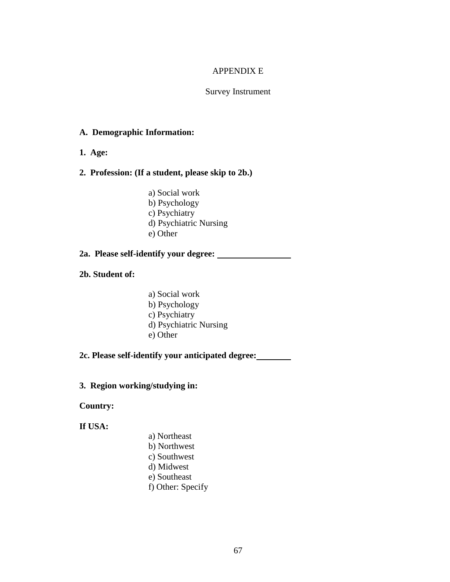# APPENDIX E

## Survey Instrument

# **A. Demographic Information:**

**1. Age:**

# **2. Profession: (If a student, please skip to 2b.)**

- a) Social work
- b) Psychology
- c) Psychiatry
- d) Psychiatric Nursing
- e) Other

#### **2a. Please self-identify your degree:**

- **2b. Student of:**
- a) Social work b) Psychology c) Psychiatry d) Psychiatric Nursing e) Other

# **2c. Please self-identify your anticipated degree:**

# **3. Region working/studying in:**

# **Country:**

# **If USA:**

- a) Northeast
	- b) Northwest
- c) Southwest d) Midwest
- e) Southeast
- 
- f) Other: Specify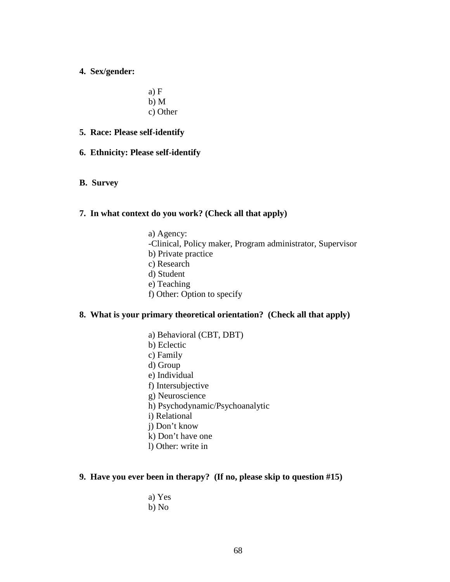**4. Sex/gender:** 

a) F b) M c) Other

- **5. Race: Please self-identify**
- **6. Ethnicity: Please self-identify**
- **B. Survey**

#### **7. In what context do you work? (Check all that apply)**

a) Agency: -Clinical, Policy maker, Program administrator, Supervisor b) Private practice c) Research d) Student e) Teaching f) Other: Option to specify

#### **8. What is your primary theoretical orientation? (Check all that apply)**

- a) Behavioral (CBT, DBT)
- b) Eclectic
- c) Family
- d) Group
- e) Individual
- f) Intersubjective
- g) Neuroscience
- h) Psychodynamic/Psychoanalytic
- i) Relational
- j) Don't know
- k) Don't have one
- l) Other: write in

#### **9. Have you ever been in therapy? (If no, please skip to question #15)**

- a) Yes
- b) No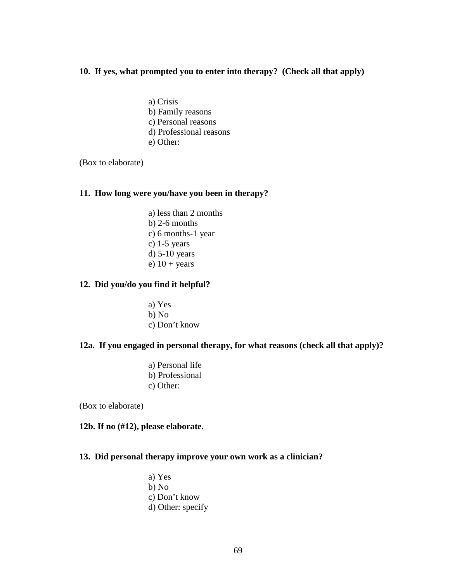#### **10. If yes, what prompted you to enter into therapy? (Check all that apply)**

- a) Crisis
- b) Family reasons
- c) Personal reasons
- d) Professional reasons
- e) Other:

(Box to elaborate)

#### **11. How long were you/have you been in therapy?**

a) less than 2 months b) 2-6 months c) 6 months-1 year c) 1-5 years d) 5-10 years e)  $10 + years$ 

## **12. Did you/do you find it helpful?**

a) Yes b) No c) Don't know

#### **12a. If you engaged in personal therapy, for what reasons (check all that apply)?**

a) Personal life b) Professional c) Other:

(Box to elaborate)

## **12b. If no (#12), please elaborate.**

## **13. Did personal therapy improve your own work as a clinician?**

a) Yes b) No c) Don't know d) Other: specify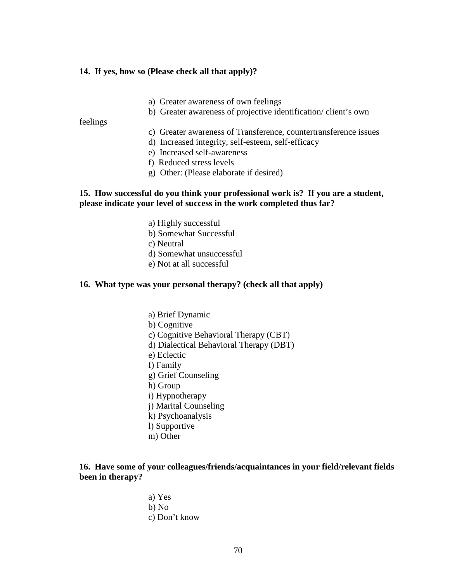#### **14. If yes, how so (Please check all that apply)?**

- a) Greater awareness of own feelings
- b) Greater awareness of projective identification/ client's own

feelings

- c) Greater awareness of Transference, countertransference issues
- d) Increased integrity, self-esteem, self-efficacy
- e) Increased self-awareness
- f) Reduced stress levels
- g) Other: (Please elaborate if desired)

#### **15. How successful do you think your professional work is? If you are a student, please indicate your level of success in the work completed thus far?**

- a) Highly successful
- b) Somewhat Successful
- c) Neutral
- d) Somewhat unsuccessful
- e) Not at all successful

#### **16. What type was your personal therapy? (check all that apply)**

- a) Brief Dynamic
- b) Cognitive
- c) Cognitive Behavioral Therapy (CBT)
- d) Dialectical Behavioral Therapy (DBT)
- e) Eclectic
- f) Family
- g) Grief Counseling
- h) Group
- i) Hypnotherapy
- j) Marital Counseling
- k) Psychoanalysis
- l) Supportive
- m) Other

# **16. Have some of your colleagues/friends/acquaintances in your field/relevant fields been in therapy?**

a) Yes b) No c) Don't know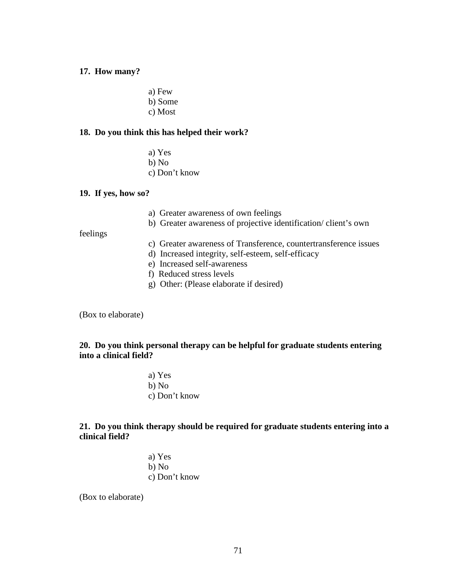#### **17. How many?**

a) Few b) Some c) Most

#### **18. Do you think this has helped their work?**

a) Yes b) No c) Don't know

#### **19. If yes, how so?**

- a) Greater awareness of own feelings
- b) Greater awareness of projective identification/ client's own

#### feelings

- c) Greater awareness of Transference, countertransference issues
- d) Increased integrity, self-esteem, self-efficacy
	- e) Increased self-awareness
	- f) Reduced stress levels
	- g) Other: (Please elaborate if desired)

(Box to elaborate)

## **20. Do you think personal therapy can be helpful for graduate students entering into a clinical field?**

a) Yes b) No c) Don't know

# **21. Do you think therapy should be required for graduate students entering into a clinical field?**

a) Yes b) No c) Don't know

(Box to elaborate)